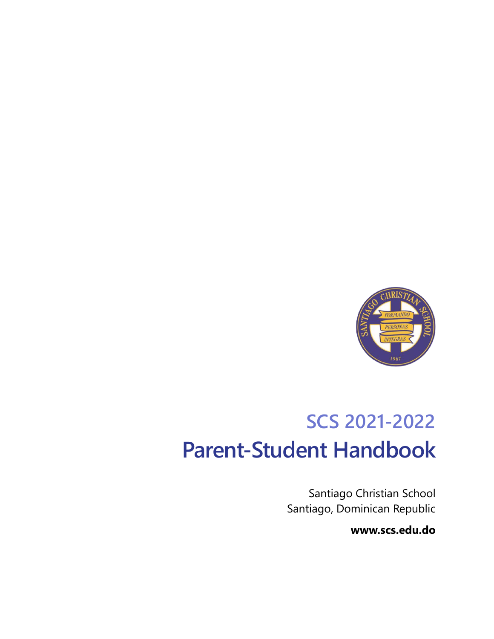

# **SCS 2021-2022 Parent-Student Handbook**

Santiago Christian School Santiago, Dominican Republic

**www.scs.edu.do**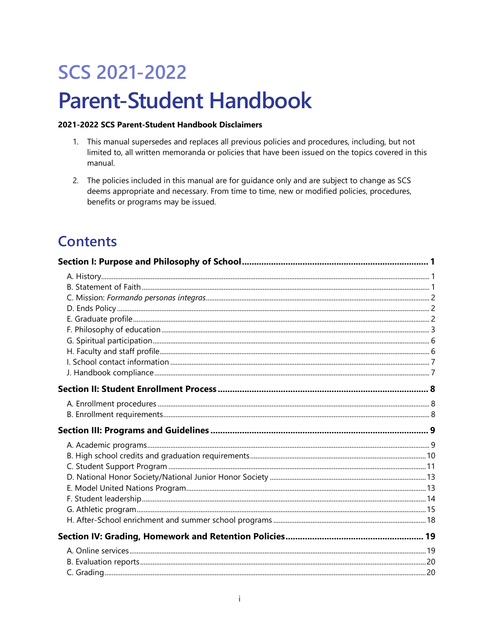# **SCS 2021-2022 Parent-Student Handbook**

#### 2021-2022 SCS Parent-Student Handbook Disclaimers

- 1. This manual supersedes and replaces all previous policies and procedures, including, but not limited to, all written memoranda or policies that have been issued on the topics covered in this manual.
- 2. The policies included in this manual are for guidance only and are subject to change as SCS deems appropriate and necessary. From time to time, new or modified policies, procedures, benefits or programs may be issued.

## **Contents**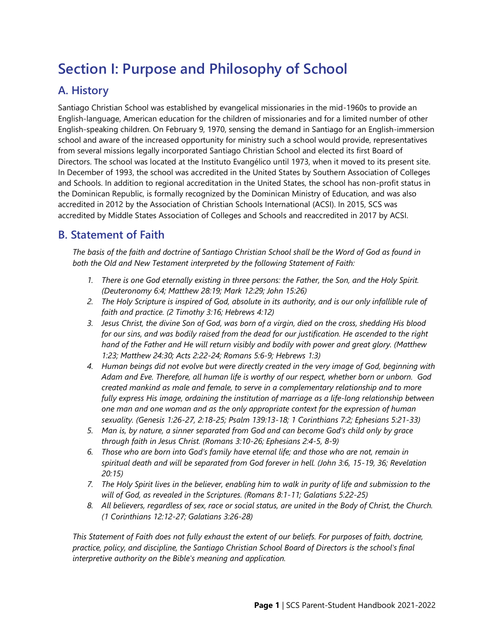## <span id="page-6-0"></span>**Section I: Purpose and Philosophy of School**

## <span id="page-6-1"></span>**A. History**

Santiago Christian School was established by evangelical missionaries in the mid-1960s to provide an English-language, American education for the children of missionaries and for a limited number of other English-speaking children. On February 9, 1970, sensing the demand in Santiago for an English-immersion school and aware of the increased opportunity for ministry such a school would provide, representatives from several missions legally incorporated Santiago Christian School and elected its first Board of Directors. The school was located at the Instituto Evangélico until 1973, when it moved to its present site. In December of 1993, the school was accredited in the United States by Southern Association of Colleges and Schools. In addition to regional accreditation in the United States, the school has non-profit status in the Dominican Republic, is formally recognized by the Dominican Ministry of Education, and was also accredited in 2012 by the Association of Christian Schools International (ACSI). In 2015, SCS was accredited by Middle States Association of Colleges and Schools and reaccredited in 2017 by ACSI.

## <span id="page-6-2"></span>**B. Statement of Faith**

*The basis of the faith and doctrine of Santiago Christian School shall be the Word of God as found in both the Old and New Testament interpreted by the following Statement of Faith:*

- *1. There is one God eternally existing in three persons: the Father, the Son, and the Holy Spirit. (Deuteronomy 6:4; Matthew 28:19; Mark 12:29; John 15:26)*
- *2. The Holy Scripture is inspired of God, absolute in its authority, and is our only infallible rule of faith and practice. (2 Timothy 3:16; Hebrews 4:12)*
- *3. Jesus Christ, the divine Son of God, was born of a virgin, died on the cross, shedding His blood for our sins, and was bodily raised from the dead for our justification. He ascended to the right hand of the Father and He will return visibly and bodily with power and great glory. (Matthew 1:23; Matthew 24:30; Acts 2:22-24; Romans 5:6-9; Hebrews 1:3)*
- *4. Human beings did not evolve but were directly created in the very image of God, beginning with Adam and Eve. Therefore, all human life is worthy of our respect, whether born or unborn. God created mankind as male and female, to serve in a complementary relationship and to more fully express His image, ordaining the institution of marriage as a life-long relationship between one man and one woman and as the only appropriate context for the expression of human sexuality. (Genesis 1:26-27, 2:18-25; Psalm 139:13-18; 1 Corinthians 7:2; Ephesians 5:21-33)*
- *5. Man is, by nature, a sinner separated from God and can become God's child only by grace through faith in Jesus Christ. (Romans 3:10-26; Ephesians 2:4-5, 8-9)*
- *6. Those who are born into God's family have eternal life; and those who are not, remain in spiritual death and will be separated from God forever in hell. (John 3:6, 15-19, 36; Revelation 20:15)*
- *7. The Holy Spirit lives in the believer, enabling him to walk in purity of life and submission to the will of God, as revealed in the Scriptures. (Romans 8:1-11; Galatians 5:22-25)*
- *8. All believers, regardless of sex, race or social status, are united in the Body of Christ, the Church. (1 Corinthians 12:12-27; Galatians 3:26-28)*

*This Statement of Faith does not fully exhaust the extent of our beliefs. For purposes of faith, doctrine, practice, policy, and discipline, the Santiago Christian School Board of Directors is the school's final interpretive authority on the Bible's meaning and application.*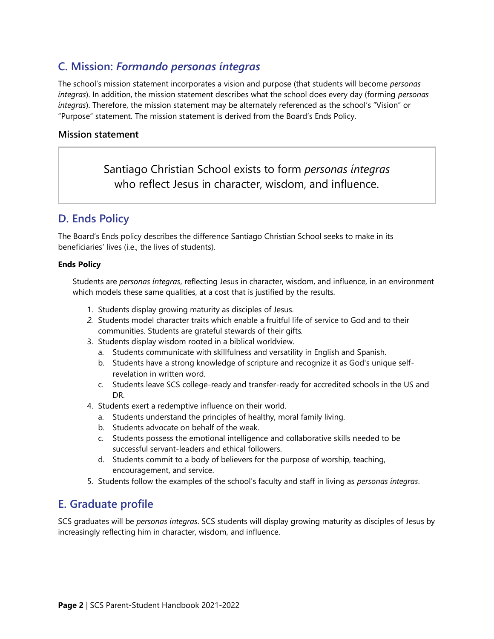## <span id="page-7-0"></span>**C. Mission:** *Formando personas íntegras*

The school's mission statement incorporates a vision and purpose (that students will become *personas íntegras*). In addition, the mission statement describes what the school does every day (forming *personas íntegras*). Therefore, the mission statement may be alternately referenced as the school's "Vision" or "Purpose" statement. The mission statement is derived from the Board's Ends Policy.

#### **Mission statement**

Santiago Christian School exists to form *personas íntegras* who reflect Jesus in character, wisdom, and influence.

## <span id="page-7-1"></span>**D. Ends Policy**

The Board's Ends policy describes the difference Santiago Christian School seeks to make in its beneficiaries' lives (i.e., the lives of students).

#### **Ends Policy**

Students are *personas íntegras*, reflecting Jesus in character, wisdom, and influence, in an environment which models these same qualities, at a cost that is justified by the results.

- 1. Students display growing maturity as disciples of Jesus.
- *2.* Students model character traits which enable a fruitful life of service to God and to their communities. Students are grateful stewards of their gifts*.*
- 3. Students display wisdom rooted in a biblical worldview.
	- a. Students communicate with skillfulness and versatility in English and Spanish.
	- b. Students have a strong knowledge of scripture and recognize it as God's unique selfrevelation in written word.
	- c. Students leave SCS college-ready and transfer-ready for accredited schools in the US and DR.
- 4. Students exert a redemptive influence on their world.
	- a. Students understand the principles of healthy, moral family living.
	- b. Students advocate on behalf of the weak.
	- c. Students possess the emotional intelligence and collaborative skills needed to be successful servant-leaders and ethical followers.
	- d. Students commit to a body of believers for the purpose of worship, teaching, encouragement, and service.
- 5. Students follow the examples of the school's faculty and staff in living as *personas íntegras*.

## <span id="page-7-2"></span>**E. Graduate profile**

SCS graduates will be *personas íntegras*. SCS students will display growing maturity as disciples of Jesus by increasingly reflecting him in character, wisdom, and influence.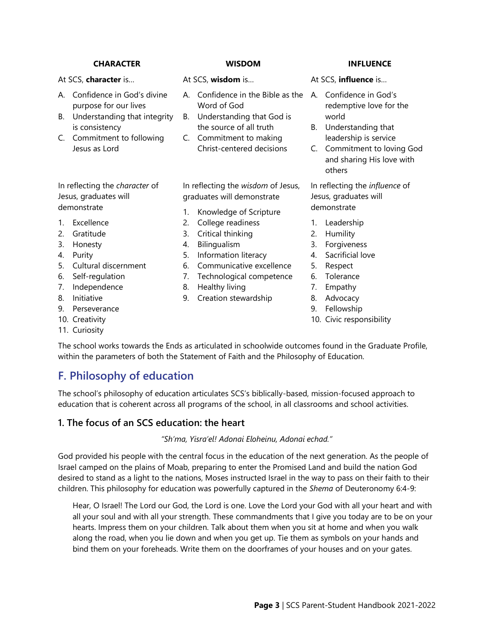#### **CHARACTER WISDOM INFLUENCE**

#### At SCS, **character** is…

- A. Confidence in God's divine purpose for our lives
- B. Understanding that integrity is consistency
- C. Commitment to following Jesus as Lord

In reflecting the *character* of Jesus, graduates will demonstrate

- 1. Excellence
- 2. Gratitude
- 3. Honesty
- 4. Purity
- 5. Cultural discernment
- 6. Self-regulation
- 7. Independence
- 8. Initiative
- 9. Perseverance
- 10. Creativity
- 11. Curiosity

#### At SCS, **wisdom** is…

- A. Confidence in the Bible as the A. Confidence in God's Word of God
- B. Understanding that God is the source of all truth
- C. Commitment to making Christ-centered decisions

In reflecting the *wisdom* of Jesus, graduates will demonstrate

- 1. Knowledge of Scripture
- 2. College readiness
- 3. Critical thinking
- 4. Bilingualism
- 5. Information literacy
- 6. Communicative excellence
- 7. Technological competence
- 8. Healthy living
- 9. Creation stewardship

- At SCS, **influence** is…
	- redemptive love for the world
- B. Understanding that leadership is service
- C. Commitment to loving God and sharing His love with others

In reflecting the *influence* of Jesus, graduates will demonstrate

- 1. Leadership
- 2. Humility
- 3. Forgiveness
- 4. Sacrificial love
- 5. Respect
- 6. Tolerance
- 7. Empathy
- 8. Advocacy
- 9. Fellowship
- 10. Civic responsibility

The school works towards the Ends as articulated in schoolwide outcomes found in the Graduate Profile, within the parameters of both the Statement of Faith and the Philosophy of Education.

## <span id="page-8-0"></span>**F. Philosophy of education**

The school's philosophy of education articulates SCS's biblically-based, mission-focused approach to education that is coherent across all programs of the school, in all classrooms and school activities.

#### **1. The focus of an SCS education: the heart**

#### *"Sh'ma, Yisra'el! Adonai Eloheinu, Adonai echad."*

God provided his people with the central focus in the education of the next generation. As the people of Israel camped on the plains of Moab, preparing to enter the Promised Land and build the nation God desired to stand as a light to the nations, Moses instructed Israel in the way to pass on their faith to their children. This philosophy for education was powerfully captured in the *Shema* of Deuteronomy 6:4-9:

Hear, O Israel! The Lord our God, the Lord is one. Love the Lord your God with all your heart and with all your soul and with all your strength. These commandments that I give you today are to be on your hearts. Impress them on your children. Talk about them when you sit at home and when you walk along the road, when you lie down and when you get up. Tie them as symbols on your hands and bind them on your foreheads. Write them on the doorframes of your houses and on your gates.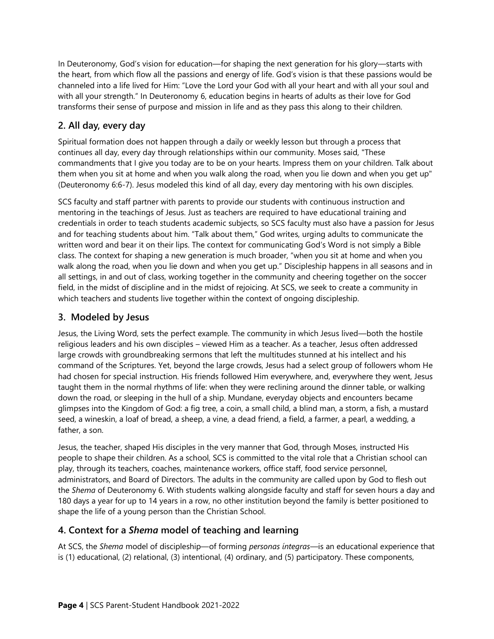In Deuteronomy, God's vision for education—for shaping the next generation for his glory—starts with the heart, from which flow all the passions and energy of life. God's vision is that these passions would be channeled into a life lived for Him: "Love the Lord your God with all your heart and with all your soul and with all your strength." In Deuteronomy 6, education begins in hearts of adults as their love for God transforms their sense of purpose and mission in life and as they pass this along to their children.

### **2. All day, every day**

Spiritual formation does not happen through a daily or weekly lesson but through a process that continues all day, every day through relationships within our community. Moses said, "These commandments that I give you today are to be on your hearts. Impress them on your children. Talk about them when you sit at home and when you walk along the road, when you lie down and when you get up" (Deuteronomy 6:6-7). Jesus modeled this kind of all day, every day mentoring with his own disciples.

SCS faculty and staff partner with parents to provide our students with continuous instruction and mentoring in the teachings of Jesus. Just as teachers are required to have educational training and credentials in order to teach students academic subjects, so SCS faculty must also have a passion for Jesus and for teaching students about him. "Talk about them," God writes, urging adults to communicate the written word and bear it on their lips. The context for communicating God's Word is not simply a Bible class. The context for shaping a new generation is much broader, "when you sit at home and when you walk along the road, when you lie down and when you get up." Discipleship happens in all seasons and in all settings, in and out of class, working together in the community and cheering together on the soccer field, in the midst of discipline and in the midst of rejoicing. At SCS, we seek to create a community in which teachers and students live together within the context of ongoing discipleship.

#### **3. Modeled by Jesus**

Jesus, the Living Word, sets the perfect example. The community in which Jesus lived—both the hostile religious leaders and his own disciples – viewed Him as a teacher. As a teacher, Jesus often addressed large crowds with groundbreaking sermons that left the multitudes stunned at his intellect and his command of the Scriptures. Yet, beyond the large crowds, Jesus had a select group of followers whom He had chosen for special instruction. His friends followed Him everywhere, and, everywhere they went, Jesus taught them in the normal rhythms of life: when they were reclining around the dinner table, or walking down the road, or sleeping in the hull of a ship. Mundane, everyday objects and encounters became glimpses into the Kingdom of God: a fig tree, a coin, a small child, a blind man, a storm, a fish, a mustard seed, a wineskin, a loaf of bread, a sheep, a vine, a dead friend, a field, a farmer, a pearl, a wedding, a father, a son.

Jesus, the teacher, shaped His disciples in the very manner that God, through Moses, instructed His people to shape their children. As a school, SCS is committed to the vital role that a Christian school can play, through its teachers, coaches, maintenance workers, office staff, food service personnel, administrators, and Board of Directors. The adults in the community are called upon by God to flesh out the *Shema* of Deuteronomy 6. With students walking alongside faculty and staff for seven hours a day and 180 days a year for up to 14 years in a row, no other institution beyond the family is better positioned to shape the life of a young person than the Christian School.

#### **4. Context for a** *Shema* **model of teaching and learning**

At SCS, the *Shema* model of discipleship—of forming *personas íntegras*—is an educational experience that is (1) educational, (2) relational, (3) intentional, (4) ordinary, and (5) participatory. These components,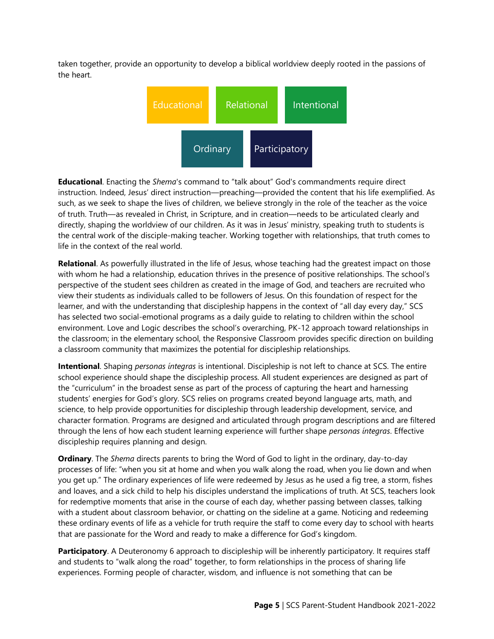taken together, provide an opportunity to develop a biblical worldview deeply rooted in the passions of the heart.



**Educational**. Enacting the *Shema*'s command to "talk about" God's commandments require direct instruction. Indeed, Jesus' direct instruction—preaching—provided the content that his life exemplified. As such, as we seek to shape the lives of children, we believe strongly in the role of the teacher as the voice of truth. Truth—as revealed in Christ, in Scripture, and in creation—needs to be articulated clearly and directly, shaping the worldview of our children. As it was in Jesus' ministry, speaking truth to students is the central work of the disciple-making teacher. Working together with relationships, that truth comes to life in the context of the real world.

**Relational**. As powerfully illustrated in the life of Jesus, whose teaching had the greatest impact on those with whom he had a relationship, education thrives in the presence of positive relationships. The school's perspective of the student sees children as created in the image of God, and teachers are recruited who view their students as individuals called to be followers of Jesus. On this foundation of respect for the learner, and with the understanding that discipleship happens in the context of "all day every day," SCS has selected two social-emotional programs as a daily guide to relating to children within the school environment. Love and Logic describes the school's overarching, PK-12 approach toward relationships in the classroom; in the elementary school, the Responsive Classroom provides specific direction on building a classroom community that maximizes the potential for discipleship relationships.

**Intentional**. Shaping *personas íntegras* is intentional. Discipleship is not left to chance at SCS. The entire school experience should shape the discipleship process. All student experiences are designed as part of the "curriculum" in the broadest sense as part of the process of capturing the heart and harnessing students' energies for God's glory. SCS relies on programs created beyond language arts, math, and science, to help provide opportunities for discipleship through leadership development, service, and character formation. Programs are designed and articulated through program descriptions and are filtered through the lens of how each student learning experience will further shape *personas íntegras*. Effective discipleship requires planning and design.

**Ordinary**. The *Shema* directs parents to bring the Word of God to light in the ordinary, day-to-day processes of life: "when you sit at home and when you walk along the road, when you lie down and when you get up." The ordinary experiences of life were redeemed by Jesus as he used a fig tree, a storm, fishes and loaves, and a sick child to help his disciples understand the implications of truth. At SCS, teachers look for redemptive moments that arise in the course of each day, whether passing between classes, talking with a student about classroom behavior, or chatting on the sideline at a game. Noticing and redeeming these ordinary events of life as a vehicle for truth require the staff to come every day to school with hearts that are passionate for the Word and ready to make a difference for God's kingdom.

**Participatory**. A Deuteronomy 6 approach to discipleship will be inherently participatory. It requires staff and students to "walk along the road" together, to form relationships in the process of sharing life experiences. Forming people of character, wisdom, and influence is not something that can be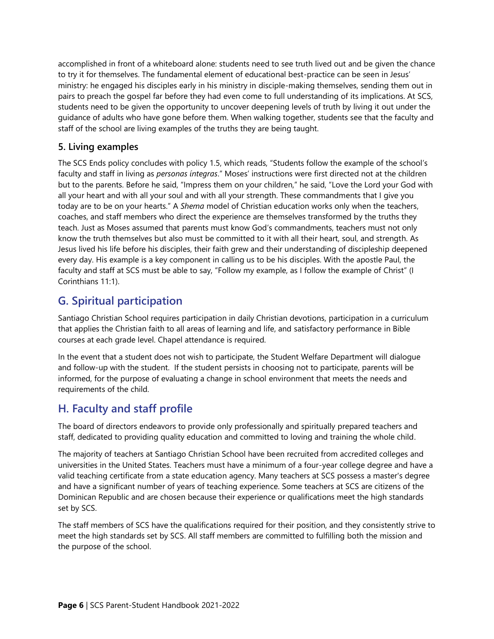accomplished in front of a whiteboard alone: students need to see truth lived out and be given the chance to try it for themselves. The fundamental element of educational best-practice can be seen in Jesus' ministry: he engaged his disciples early in his ministry in disciple-making themselves, sending them out in pairs to preach the gospel far before they had even come to full understanding of its implications. At SCS, students need to be given the opportunity to uncover deepening levels of truth by living it out under the guidance of adults who have gone before them. When walking together, students see that the faculty and staff of the school are living examples of the truths they are being taught.

#### **5. Living examples**

The SCS Ends policy concludes with policy 1.5, which reads, "Students follow the example of the school's faculty and staff in living as *personas íntegras*." Moses' instructions were first directed not at the children but to the parents. Before he said, "Impress them on your children," he said, "Love the Lord your God with all your heart and with all your soul and with all your strength. These commandments that I give you today are to be on your hearts." A *Shema* model of Christian education works only when the teachers, coaches, and staff members who direct the experience are themselves transformed by the truths they teach. Just as Moses assumed that parents must know God's commandments, teachers must not only know the truth themselves but also must be committed to it with all their heart, soul, and strength. As Jesus lived his life before his disciples, their faith grew and their understanding of discipleship deepened every day. His example is a key component in calling us to be his disciples. With the apostle Paul, the faculty and staff at SCS must be able to say, "Follow my example, as I follow the example of Christ" (I Corinthians 11:1).

## <span id="page-11-0"></span>**G. Spiritual participation**

Santiago Christian School requires participation in daily Christian devotions, participation in a curriculum that applies the Christian faith to all areas of learning and life, and satisfactory performance in Bible courses at each grade level. Chapel attendance is required.

In the event that a student does not wish to participate, the Student Welfare Department will dialogue and follow-up with the student. If the student persists in choosing not to participate, parents will be informed, for the purpose of evaluating a change in school environment that meets the needs and requirements of the child.

## <span id="page-11-1"></span>**H. Faculty and staff profile**

The board of directors endeavors to provide only professionally and spiritually prepared teachers and staff, dedicated to providing quality education and committed to loving and training the whole child.

The majority of teachers at Santiago Christian School have been recruited from accredited colleges and universities in the United States. Teachers must have a minimum of a four-year college degree and have a valid teaching certificate from a state education agency. Many teachers at SCS possess a master's degree and have a significant number of years of teaching experience. Some teachers at SCS are citizens of the Dominican Republic and are chosen because their experience or qualifications meet the high standards set by SCS.

The staff members of SCS have the qualifications required for their position, and they consistently strive to meet the high standards set by SCS. All staff members are committed to fulfilling both the mission and the purpose of the school.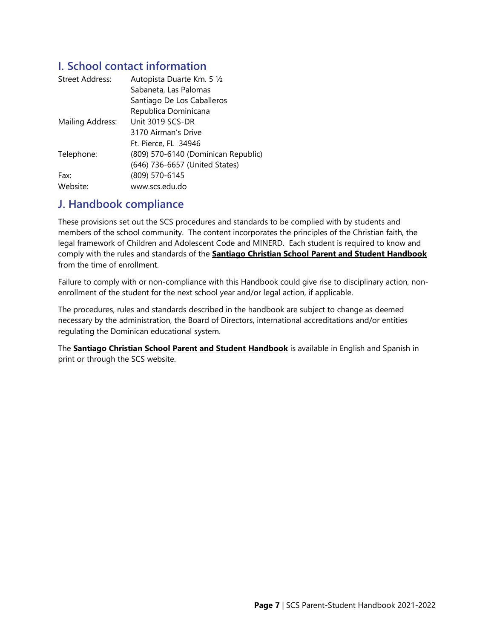## <span id="page-12-0"></span>**I. School contact information**

| <b>Street Address:</b> | Autopista Duarte Km. 5 1/2          |  |
|------------------------|-------------------------------------|--|
|                        | Sabaneta, Las Palomas               |  |
|                        | Santiago De Los Caballeros          |  |
|                        | Republica Dominicana                |  |
| Mailing Address:       | Unit 3019 SCS-DR                    |  |
|                        | 3170 Airman's Drive                 |  |
|                        | Ft. Pierce, FL 34946                |  |
| Telephone:             | (809) 570-6140 (Dominican Republic) |  |
|                        | (646) 736-6657 (United States)      |  |
| Fax:                   | (809) 570-6145                      |  |
| Website:               | www.scs.edu.do                      |  |

## <span id="page-12-1"></span>**J. Handbook compliance**

These provisions set out the SCS procedures and standards to be complied with by students and members of the school community. The content incorporates the principles of the Christian faith, the legal framework of Children and Adolescent Code and MINERD. Each student is required to know and comply with the rules and standards of the **Santiago Christian School Parent and Student Handbook** from the time of enrollment.

Failure to comply with or non-compliance with this Handbook could give rise to disciplinary action, nonenrollment of the student for the next school year and/or legal action, if applicable.

The procedures, rules and standards described in the handbook are subject to change as deemed necessary by the administration, the Board of Directors, international accreditations and/or entities regulating the Dominican educational system.

The **Santiago Christian School Parent and Student Handbook** is available in English and Spanish in print or through the SCS website.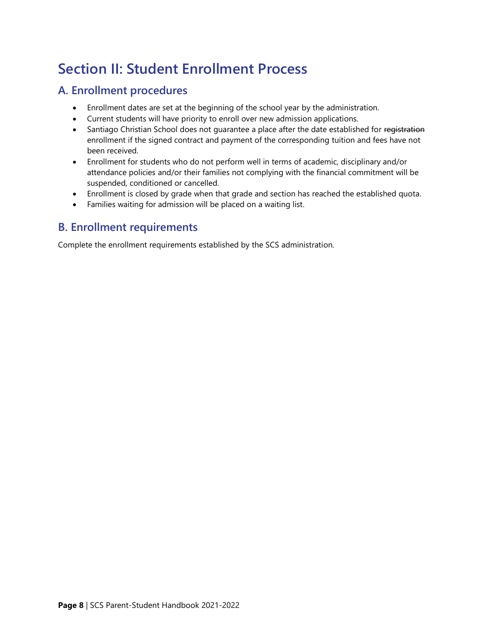## <span id="page-13-0"></span>**Section II: Student Enrollment Process**

## <span id="page-13-1"></span>**A. Enrollment procedures**

- Enrollment dates are set at the beginning of the school year by the administration.
- Current students will have priority to enroll over new admission applications.
- Santiago Christian School does not quarantee a place after the date established for registration enrollment if the signed contract and payment of the corresponding tuition and fees have not been received.
- Enrollment for students who do not perform well in terms of academic, disciplinary and/or attendance policies and/or their families not complying with the financial commitment will be suspended, conditioned or cancelled.
- Enrollment is closed by grade when that grade and section has reached the established quota.
- Families waiting for admission will be placed on a waiting list.

## <span id="page-13-2"></span>**B. Enrollment requirements**

Complete the enrollment requirements established by the SCS administration.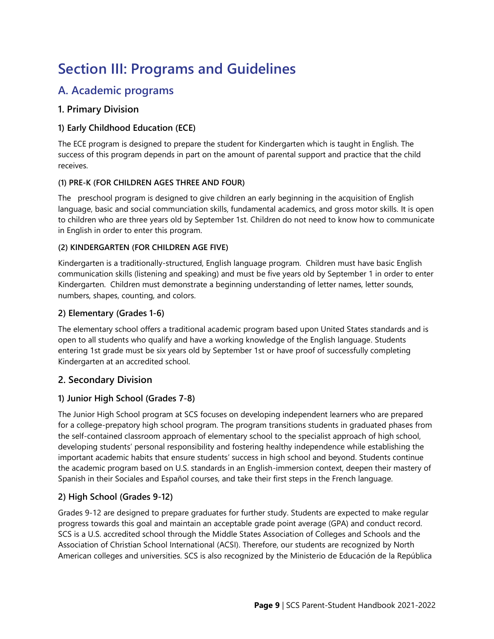## <span id="page-14-0"></span>**Section III: Programs and Guidelines**

## <span id="page-14-1"></span>**A. Academic programs**

#### **1. Primary Division**

#### **1) Early Childhood Education (ECE)**

The ECE program is designed to prepare the student for Kindergarten which is taught in English. The success of this program depends in part on the amount of parental support and practice that the child receives.

#### **(1) PRE-K (FOR CHILDREN AGES THREE AND FOUR)**

The preschool program is designed to give children an early beginning in the acquisition of English language, basic and social communciation skills, fundamental academics, and gross motor skills. It is open to children who are three years old by September 1st. Children do not need to know how to communicate in English in order to enter this program.

#### **(2) KINDERGARTEN (FOR CHILDREN AGE FIVE)**

Kindergarten is a traditionally-structured, English language program. Children must have basic English communication skills (listening and speaking) and must be five years old by September 1 in order to enter Kindergarten. Children must demonstrate a beginning understanding of letter names, letter sounds, numbers, shapes, counting, and colors.

#### **2) Elementary (Grades 1-6)**

The elementary school offers a traditional academic program based upon United States standards and is open to all students who qualify and have a working knowledge of the English language. Students entering 1st grade must be six years old by September 1st or have proof of successfully completing Kindergarten at an accredited school.

#### **2. Secondary Division**

#### **1) Junior High School (Grades 7-8)**

The Junior High School program at SCS focuses on developing independent learners who are prepared for a college-prepatory high school program. The program transitions students in graduated phases from the self-contained classroom approach of elementary school to the specialist approach of high school, developing students' personal responsibility and fostering healthy independence while establishing the important academic habits that ensure students' success in high school and beyond. Students continue the academic program based on U.S. standards in an English-immersion context, deepen their mastery of Spanish in their Sociales and Español courses, and take their first steps in the French language.

#### **2) High School (Grades 9-12)**

Grades 9-12 are designed to prepare graduates for further study. Students are expected to make regular progress towards this goal and maintain an acceptable grade point average (GPA) and conduct record. SCS is a U.S. accredited school through the Middle States Association of Colleges and Schools and the Association of Christian School International (ACSI). Therefore, our students are recognized by North American colleges and universities. SCS is also recognized by the Ministerio de Educación de la República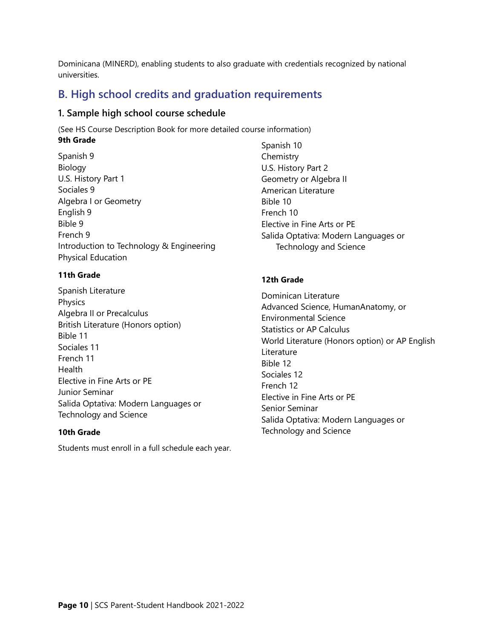Dominicana (MINERD), enabling students to also graduate with credentials recognized by national universities.

## <span id="page-15-0"></span>**B. High school credits and graduation requirements**

#### **1. Sample high school course schedule**

(See HS Course Description Book for more detailed course information) **9th Grade**

Spanish 9 Biology U.S. History Part 1 Sociales 9 Algebra I or Geometry English 9 Bible 9 French 9 Introduction to Technology & Engineering Physical Education

#### **11th Grade**

Spanish Literature Physics Algebra II or Precalculus British Literature (Honors option) Bible 11 Sociales 11 French 11 **Health** Elective in Fine Arts or PE Junior Seminar Salida Optativa: Modern Languages or Technology and Science

#### **10th Grade**

Students must enroll in a full schedule each year.

Spanish 10 **Chemistry** U.S. History Part 2 Geometry or Algebra II American Literature Bible 10 French 10 Elective in Fine Arts or PE Salida Optativa: Modern Languages or Technology and Science

#### **12th Grade**

Dominican Literature Advanced Science, HumanAnatomy, or Environmental Science Statistics or AP Calculus World Literature (Honors option) or AP English **Literature** Bible 12 Sociales 12 French 12 Elective in Fine Arts or PE Senior Seminar Salida Optativa: Modern Languages or Technology and Science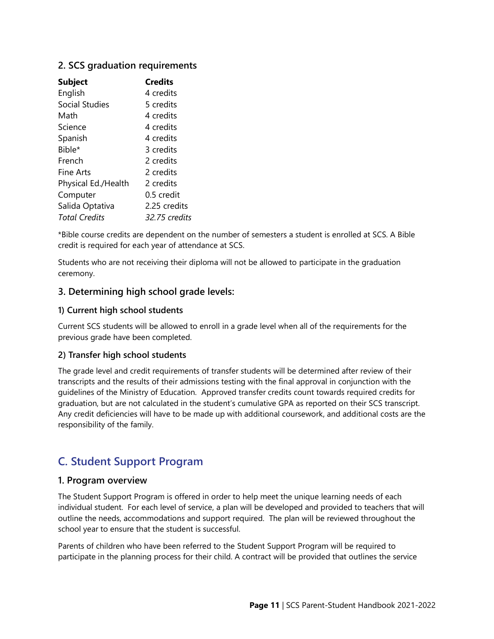#### **2. SCS graduation requirements**

| <b>Subject</b>       | <b>Credits</b> |
|----------------------|----------------|
| English              | 4 credits      |
| Social Studies       | 5 credits      |
| Math                 | 4 credits      |
| Science              | 4 credits      |
| Spanish              | 4 credits      |
| Bible*               | 3 credits      |
| French               | 2 credits      |
| Fine Arts            | 2 credits      |
| Physical Ed./Health  | 2 credits      |
| Computer             | 0.5 credit     |
| Salida Optativa      | 2.25 credits   |
| <b>Total Credits</b> | 32.75 credits  |

\*Bible course credits are dependent on the number of semesters a student is enrolled at SCS. A Bible credit is required for each year of attendance at SCS.

Students who are not receiving their diploma will not be allowed to participate in the graduation ceremony.

#### **3. Determining high school grade levels:**

#### **1) Current high school students**

Current SCS students will be allowed to enroll in a grade level when all of the requirements for the previous grade have been completed.

#### **2) Transfer high school students**

The grade level and credit requirements of transfer students will be determined after review of their transcripts and the results of their admissions testing with the final approval in conjunction with the guidelines of the Ministry of Education. Approved transfer credits count towards required credits for graduation, but are not calculated in the student's cumulative GPA as reported on their SCS transcript. Any credit deficiencies will have to be made up with additional coursework, and additional costs are the responsibility of the family.

## <span id="page-16-0"></span>**C. Student Support Program**

#### **1. Program overview**

The Student Support Program is offered in order to help meet the unique learning needs of each individual student. For each level of service, a plan will be developed and provided to teachers that will outline the needs, accommodations and support required. The plan will be reviewed throughout the school year to ensure that the student is successful.

Parents of children who have been referred to the Student Support Program will be required to participate in the planning process for their child. A contract will be provided that outlines the service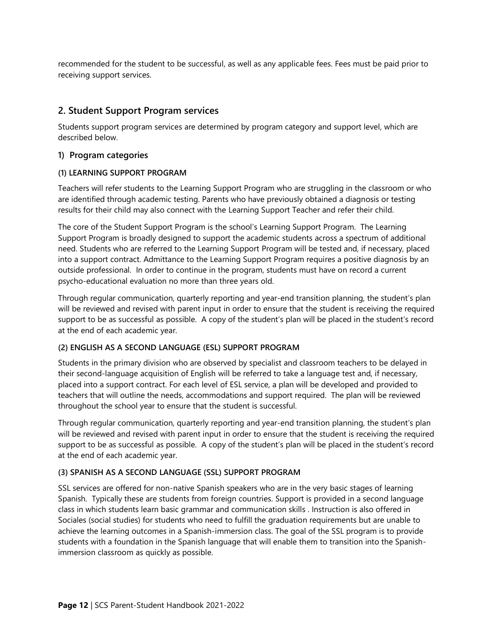recommended for the student to be successful, as well as any applicable fees. Fees must be paid prior to receiving support services.

#### **2. Student Support Program services**

Students support program services are determined by program category and support level, which are described below.

#### **1) Program categories**

#### **(1) LEARNING SUPPORT PROGRAM**

Teachers will refer students to the Learning Support Program who are struggling in the classroom or who are identified through academic testing. Parents who have previously obtained a diagnosis or testing results for their child may also connect with the Learning Support Teacher and refer their child.

The core of the Student Support Program is the school's Learning Support Program. The Learning Support Program is broadly designed to support the academic students across a spectrum of additional need. Students who are referred to the Learning Support Program will be tested and, if necessary, placed into a support contract. Admittance to the Learning Support Program requires a positive diagnosis by an outside professional. In order to continue in the program, students must have on record a current psycho-educational evaluation no more than three years old.

Through regular communication, quarterly reporting and year-end transition planning, the student's plan will be reviewed and revised with parent input in order to ensure that the student is receiving the required support to be as successful as possible. A copy of the student's plan will be placed in the student's record at the end of each academic year.

#### **(2) ENGLISH AS A SECOND LANGUAGE (ESL) SUPPORT PROGRAM**

Students in the primary division who are observed by specialist and classroom teachers to be delayed in their second-language acquisition of English will be referred to take a language test and, if necessary, placed into a support contract. For each level of ESL service, a plan will be developed and provided to teachers that will outline the needs, accommodations and support required. The plan will be reviewed throughout the school year to ensure that the student is successful.

Through regular communication, quarterly reporting and year-end transition planning, the student's plan will be reviewed and revised with parent input in order to ensure that the student is receiving the required support to be as successful as possible. A copy of the student's plan will be placed in the student's record at the end of each academic year.

#### **(3) SPANISH AS A SECOND LANGUAGE (SSL) SUPPORT PROGRAM**

SSL services are offered for non-native Spanish speakers who are in the very basic stages of learning Spanish. Typically these are students from foreign countries. Support is provided in a second language class in which students learn basic grammar and communication skills . Instruction is also offered in Sociales (social studies) for students who need to fulfill the graduation requirements but are unable to achieve the learning outcomes in a Spanish-immersion class. The goal of the SSL program is to provide students with a foundation in the Spanish language that will enable them to transition into the Spanishimmersion classroom as quickly as possible.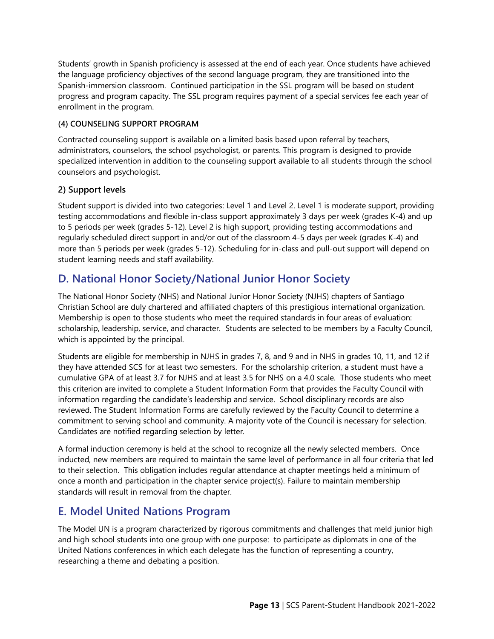Students' growth in Spanish proficiency is assessed at the end of each year. Once students have achieved the language proficiency objectives of the second language program, they are transitioned into the Spanish-immersion classroom. Continued participation in the SSL program will be based on student progress and program capacity. The SSL program requires payment of a special services fee each year of enrollment in the program.

#### **(4) COUNSELING SUPPORT PROGRAM**

Contracted counseling support is available on a limited basis based upon referral by teachers, administrators, counselors, the school psychologist, or parents. This program is designed to provide specialized intervention in addition to the counseling support available to all students through the school counselors and psychologist.

#### **2) Support levels**

Student support is divided into two categories: Level 1 and Level 2. Level 1 is moderate support, providing testing accommodations and flexible in-class support approximately 3 days per week (grades K-4) and up to 5 periods per week (grades 5-12). Level 2 is high support, providing testing accommodations and regularly scheduled direct support in and/or out of the classroom 4-5 days per week (grades K-4) and more than 5 periods per week (grades 5-12). Scheduling for in-class and pull-out support will depend on student learning needs and staff availability.

## <span id="page-18-0"></span>**D. National Honor Society/National Junior Honor Society**

The National Honor Society (NHS) and National Junior Honor Society (NJHS) chapters of Santiago Christian School are duly chartered and affiliated chapters of this prestigious international organization. Membership is open to those students who meet the required standards in four areas of evaluation: scholarship, leadership, service, and character. Students are selected to be members by a Faculty Council, which is appointed by the principal.

Students are eligible for membership in NJHS in grades 7, 8, and 9 and in NHS in grades 10, 11, and 12 if they have attended SCS for at least two semesters. For the scholarship criterion, a student must have a cumulative GPA of at least 3.7 for NJHS and at least 3.5 for NHS on a 4.0 scale. Those students who meet this criterion are invited to complete a Student Information Form that provides the Faculty Council with information regarding the candidate's leadership and service. School disciplinary records are also reviewed. The Student Information Forms are carefully reviewed by the Faculty Council to determine a commitment to serving school and community. A majority vote of the Council is necessary for selection. Candidates are notified regarding selection by letter.

A formal induction ceremony is held at the school to recognize all the newly selected members. Once inducted, new members are required to maintain the same level of performance in all four criteria that led to their selection. This obligation includes regular attendance at chapter meetings held a minimum of once a month and participation in the chapter service project(s). Failure to maintain membership standards will result in removal from the chapter.

## <span id="page-18-1"></span>**E. Model United Nations Program**

The Model UN is a program characterized by rigorous commitments and challenges that meld junior high and high school students into one group with one purpose: to participate as diplomats in one of the United Nations conferences in which each delegate has the function of representing a country, researching a theme and debating a position.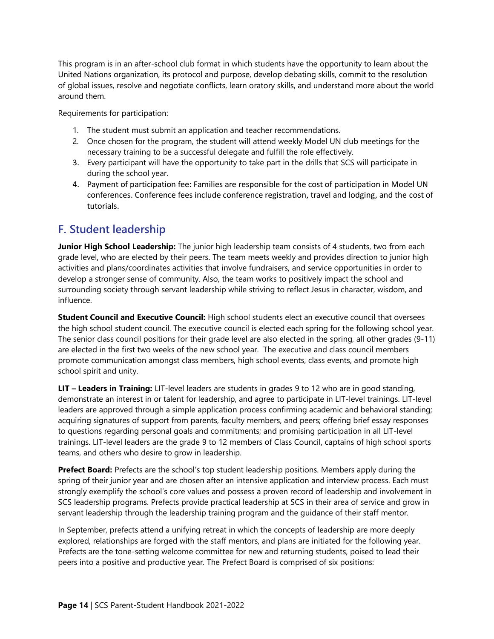This program is in an after-school club format in which students have the opportunity to learn about the United Nations organization, its protocol and purpose, develop debating skills, commit to the resolution of global issues, resolve and negotiate conflicts, learn oratory skills, and understand more about the world around them.

Requirements for participation:

- 1. The student must submit an application and teacher recommendations.
- 2. Once chosen for the program, the student will attend weekly Model UN club meetings for the necessary training to be a successful delegate and fulfill the role effectively.
- 3. Every participant will have the opportunity to take part in the drills that SCS will participate in during the school year.
- 4. Payment of participation fee: Families are responsible for the cost of participation in Model UN conferences. Conference fees include conference registration, travel and lodging, and the cost of tutorials.

## <span id="page-19-0"></span>**F. Student leadership**

**Junior High School Leadership:** The junior high leadership team consists of 4 students, two from each grade level, who are elected by their peers. The team meets weekly and provides direction to junior high activities and plans/coordinates activities that involve fundraisers, and service opportunities in order to develop a stronger sense of community. Also, the team works to positively impact the school and surrounding society through servant leadership while striving to reflect Jesus in character, wisdom, and influence.

**Student Council and Executive Council:** High school students elect an executive council that oversees the high school student council. The executive council is elected each spring for the following school year. The senior class council positions for their grade level are also elected in the spring, all other grades (9-11) are elected in the first two weeks of the new school year. The executive and class council members promote communication amongst class members, high school events, class events, and promote high school spirit and unity.

**LIT – Leaders in Training:** LIT-level leaders are students in grades 9 to 12 who are in good standing, demonstrate an interest in or talent for leadership, and agree to participate in LIT-level trainings. LIT-level leaders are approved through a simple application process confirming academic and behavioral standing; acquiring signatures of support from parents, faculty members, and peers; offering brief essay responses to questions regarding personal goals and commitments; and promising participation in all LIT-level trainings. LIT-level leaders are the grade 9 to 12 members of Class Council, captains of high school sports teams, and others who desire to grow in leadership.

**Prefect Board:** Prefects are the school's top student leadership positions. Members apply during the spring of their junior year and are chosen after an intensive application and interview process. Each must strongly exemplify the school's core values and possess a proven record of leadership and involvement in SCS leadership programs. Prefects provide practical leadership at SCS in their area of service and grow in servant leadership through the leadership training program and the guidance of their staff mentor.

In September, prefects attend a unifying retreat in which the concepts of leadership are more deeply explored, relationships are forged with the staff mentors, and plans are initiated for the following year. Prefects are the tone-setting welcome committee for new and returning students, poised to lead their peers into a positive and productive year. The Prefect Board is comprised of six positions: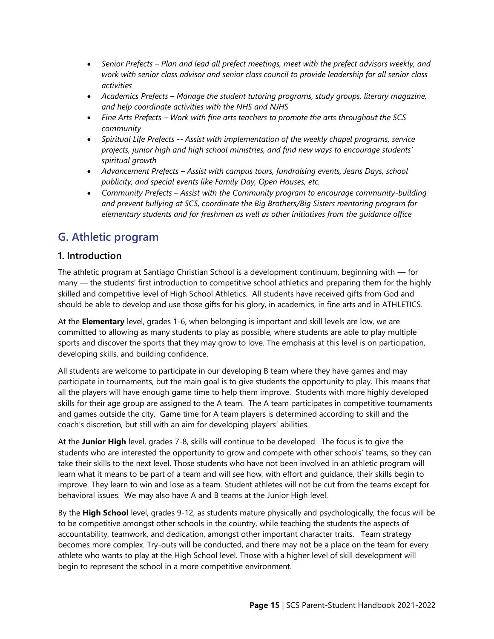- *Senior Prefects – Plan and lead all prefect meetings, meet with the prefect advisors weekly, and work with senior class advisor and senior class council to provide leadership for all senior class activities*
- *Academics Prefects – Manage the student tutoring programs, study groups, literary magazine, and help coordinate activities with the NHS and NJHS*
- *Fine Arts Prefects – Work with fine arts teachers to promote the arts throughout the SCS community*
- *Spiritual Life Prefects -- Assist with implementation of the weekly chapel programs, service projects, junior high and high school ministries, and find new ways to encourage students' spiritual growth*
- *Advancement Prefects – Assist with campus tours, fundraising events, Jeans Days, school publicity, and special events like Family Day, Open Houses, etc.*
- *Community Prefects – Assist with the Community program to encourage community-building and prevent bullying at SCS, coordinate the Big Brothers/Big Sisters mentoring program for elementary students and for freshmen as well as other initiatives from the guidance office*

## <span id="page-20-0"></span>**G. Athletic program**

#### **1. Introduction**

The athletic program at Santiago Christian School is a development continuum, beginning with  $-$  for many — the students' first introduction to competitive school athletics and preparing them for the highly skilled and competitive level of High School Athletics. All students have received gifts from God and should be able to develop and use those gifts for his glory, in academics, in fine arts and in ATHLETICS.

At the **Elementary** level, grades 1-6, when belonging is important and skill levels are low, we are committed to allowing as many students to play as possible, where students are able to play multiple sports and discover the sports that they may grow to love. The emphasis at this level is on participation, developing skills, and building confidence.

All students are welcome to participate in our developing B team where they have games and may participate in tournaments, but the main goal is to give students the opportunity to play. This means that all the players will have enough game time to help them improve. Students with more highly developed skills for their age group are assigned to the A team. The A team participates in competitive tournaments and games outside the city. Game time for A team players is determined according to skill and the coach's discretion, but still with an aim for developing players' abilities.

At the **Junior High** level, grades 7-8, skills will continue to be developed. The focus is to give the students who are interested the opportunity to grow and compete with other schools' teams, so they can take their skills to the next level. Those students who have not been involved in an athletic program will learn what it means to be part of a team and will see how, with effort and guidance, their skills begin to improve. They learn to win and lose as a team. Student athletes will not be cut from the teams except for behavioral issues. We may also have A and B teams at the Junior High level.

By the **High School** level, grades 9-12, as students mature physically and psychologically, the focus will be to be competitive amongst other schools in the country, while teaching the students the aspects of accountability, teamwork, and dedication, amongst other important character traits. Team strategy becomes more complex. Try-outs will be conducted, and there may not be a place on the team for every athlete who wants to play at the High School level. Those with a higher level of skill development will begin to represent the school in a more competitive environment.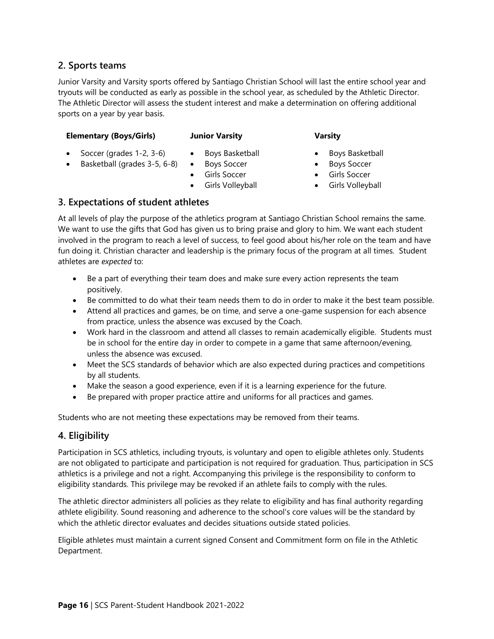#### **2. Sports teams**

Junior Varsity and Varsity sports offered by Santiago Christian School will last the entire school year and tryouts will be conducted as early as possible in the school year, as scheduled by the Athletic Director. The Athletic Director will assess the student interest and make a determination on offering additional sports on a year by year basis.

#### **Elementary (Boys/Girls)**

#### **Junior Varsity**

#### **Varsity**

• Soccer (grades 1-2, 3-6)

• Basketball (grades 3-5, 6-8)

- Boys Basketball
- Boys Soccer
	- Girls Soccer
- Girls Volleyball
- Boys Basketball
- Boys Soccer
- Girls Soccer
- Girls Volleyball

#### **3. Expectations of student athletes**

At all levels of play the purpose of the athletics program at Santiago Christian School remains the same. We want to use the gifts that God has given us to bring praise and glory to him. We want each student involved in the program to reach a level of success, to feel good about his/her role on the team and have fun doing it. Christian character and leadership is the primary focus of the program at all times. Student athletes are *expected* to:

- Be a part of everything their team does and make sure every action represents the team positively.
- Be committed to do what their team needs them to do in order to make it the best team possible.
- Attend all practices and games, be on time, and serve a one-game suspension for each absence from practice, unless the absence was excused by the Coach.
- Work hard in the classroom and attend all classes to remain academically eligible. Students must be in school for the entire day in order to compete in a game that same afternoon/evening, unless the absence was excused.
- Meet the SCS standards of behavior which are also expected during practices and competitions by all students.
- Make the season a good experience, even if it is a learning experience for the future.
- Be prepared with proper practice attire and uniforms for all practices and games.

Students who are not meeting these expectations may be removed from their teams.

#### **4. Eligibility**

Participation in SCS athletics, including tryouts, is voluntary and open to eligible athletes only. Students are not obligated to participate and participation is not required for graduation. Thus, participation in SCS athletics is a privilege and not a right. Accompanying this privilege is the responsibility to conform to eligibility standards. This privilege may be revoked if an athlete fails to comply with the rules.

The athletic director administers all policies as they relate to eligibility and has final authority regarding athlete eligibility. Sound reasoning and adherence to the school's core values will be the standard by which the athletic director evaluates and decides situations outside stated policies.

Eligible athletes must maintain a current signed Consent and Commitment form on file in the Athletic Department.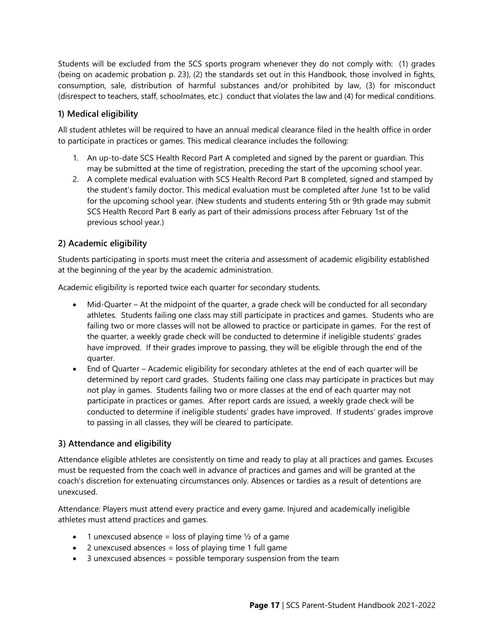Students will be excluded from the SCS sports program whenever they do not comply with: (1) grades (being on academic probation p. 23), (2) the standards set out in this Handbook, those involved in fights, consumption, sale, distribution of harmful substances and/or prohibited by law, (3) for misconduct (disrespect to teachers, staff, schoolmates, etc.) conduct that violates the law and (4) for medical conditions.

#### **1) Medical eligibility**

All student athletes will be required to have an annual medical clearance filed in the health office in order to participate in practices or games. This medical clearance includes the following:

- 1. An up-to-date SCS Health Record Part A completed and signed by the parent or guardian. This may be submitted at the time of registration, preceding the start of the upcoming school year.
- 2. A complete medical evaluation with SCS Health Record Part B completed, signed and stamped by the student's family doctor. This medical evaluation must be completed after June 1st to be valid for the upcoming school year. (New students and students entering 5th or 9th grade may submit SCS Health Record Part B early as part of their admissions process after February 1st of the previous school year.)

#### **2) Academic eligibility**

Students participating in sports must meet the criteria and assessment of academic eligibility established at the beginning of the year by the academic administration.

Academic eligibility is reported twice each quarter for secondary students.

- Mid-Quarter At the midpoint of the quarter, a grade check will be conducted for all secondary athletes. Students failing one class may still participate in practices and games. Students who are failing two or more classes will not be allowed to practice or participate in games. For the rest of the quarter, a weekly grade check will be conducted to determine if ineligible students' grades have improved. If their grades improve to passing, they will be eligible through the end of the quarter.
- End of Quarter Academic eligibility for secondary athletes at the end of each quarter will be determined by report card grades. Students failing one class may participate in practices but may not play in games. Students failing two or more classes at the end of each quarter may not participate in practices or games. After report cards are issued, a weekly grade check will be conducted to determine if ineligible students' grades have improved. If students' grades improve to passing in all classes, they will be cleared to participate.

#### **3) Attendance and eligibility**

Attendance eligible athletes are consistently on time and ready to play at all practices and games. Excuses must be requested from the coach well in advance of practices and games and will be granted at the coach's discretion for extenuating circumstances only. Absences or tardies as a result of detentions are unexcused.

Attendance: Players must attend every practice and every game. Injured and academically ineligible athletes must attend practices and games.

- 1 unexcused absence = loss of playing time  $\frac{1}{2}$  of a game
- $\bullet$  2 unexcused absences = loss of playing time 1 full game
- 3 unexcused absences = possible temporary suspension from the team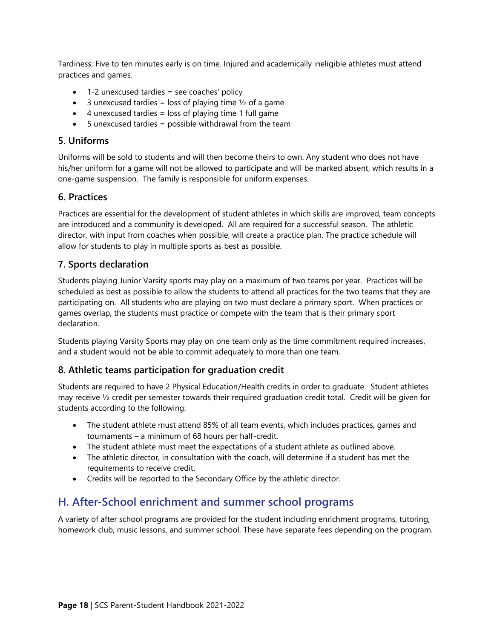Tardiness: Five to ten minutes early is on time. Injured and academically ineligible athletes must attend practices and games.

- 1-2 unexcused tardies = see coaches' policy
- 3 unexcused tardies = loss of playing time  $\frac{1}{2}$  of a game
- $\bullet$  4 unexcused tardies = loss of playing time 1 full game
- 5 unexcused tardies = possible withdrawal from the team

#### **5. Uniforms**

Uniforms will be sold to students and will then become theirs to own. Any student who does not have his/her uniform for a game will not be allowed to participate and will be marked absent, which results in a one-game suspension. The family is responsible for uniform expenses.

#### **6. Practices**

Practices are essential for the development of student athletes in which skills are improved, team concepts are introduced and a community is developed. All are required for a successful season. The athletic director, with input from coaches when possible, will create a practice plan. The practice schedule will allow for students to play in multiple sports as best as possible.

#### **7. Sports declaration**

Students playing Junior Varsity sports may play on a maximum of two teams per year. Practices will be scheduled as best as possible to allow the students to attend all practices for the two teams that they are participating on. All students who are playing on two must declare a primary sport. When practices or games overlap, the students must practice or compete with the team that is their primary sport declaration.

Students playing Varsity Sports may play on one team only as the time commitment required increases, and a student would not be able to commit adequately to more than one team.

#### **8. Athletic teams participation for graduation credit**

Students are required to have 2 Physical Education/Health credits in order to graduate. Student athletes may receive ½ credit per semester towards their required graduation credit total. Credit will be given for students according to the following:

- The student athlete must attend 85% of all team events, which includes practices, games and tournaments – a minimum of 68 hours per half-credit.
- The student athlete must meet the expectations of a student athlete as outlined above.
- The athletic director, in consultation with the coach, will determine if a student has met the requirements to receive credit.
- Credits will be reported to the Secondary Office by the athletic director.

## <span id="page-23-0"></span>**H. After-School enrichment and summer school programs**

A variety of after school programs are provided for the student including enrichment programs, tutoring, homework club, music lessons, and summer school. These have separate fees depending on the program.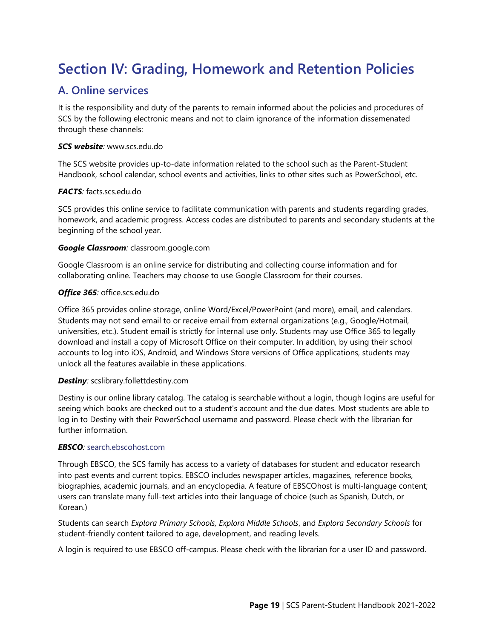## <span id="page-24-0"></span>**Section IV: Grading, Homework and Retention Policies**

## <span id="page-24-1"></span>**A. Online services**

It is the responsibility and duty of the parents to remain informed about the policies and procedures of SCS by the following electronic means and not to claim ignorance of the information dissemenated through these channels:

#### *SCS website:* [www.scs.edu.do](http://www.scs.edu.do/)

The SCS website provides up-to-date information related to the school such as the Parent-Student Handbook, school calendar, school events and activities, links to other sites such as PowerSchool, etc.

#### *FACTS:* [facts.scs.edu.do](http://www.scspsserver.edu.do/)

SCS provides this online service to facilitate communication with parents and students regarding grades, homework, and academic progress. Access codes are distributed to parents and secondary students at the beginning of the school year.

#### *Google Classroom:* classroom.google.com

Google Classroom is an online service for distributing and collecting course information and for collaborating online. Teachers may choose to use Google Classroom for their courses.

#### *Office 365:* office.scs.edu.do

Office 365 provides online storage, online Word/Excel/PowerPoint (and more), email, and calendars. Students may not send email to or receive email from external organizations (e.g., Google/Hotmail, universities, etc.). Student email is strictly for internal use only. Students may use Office 365 to legally download and install a copy of Microsoft Office on their computer. In addition, by using their school accounts to log into iOS, Android, and Windows Store versions of Office applications, students may unlock all the features available in these applications.

#### *Destiny:* scslibrary.follettdestiny.com

Destiny is our online library catalog. The catalog is searchable without a login, though logins are useful for seeing which books are checked out to a student's account and the due dates. Most students are able to log in to Destiny with their PowerSchool username and password. Please check with the librarian for further information.

#### *EBSCO:* [search.ebscohost.com](https://scsedu.sharepoint.com/adminteam/Shared%20Documents/Handbooks/Parent-Student%20Handbooks/search.ebscohost.com)

Through EBSCO, the SCS family has access to a variety of databases for student and educator research into past events and current topics. EBSCO includes newspaper articles, magazines, reference books, biographies, academic journals, and an encyclopedia. A feature of EBSCOhost is multi-language content; users can translate many full-text articles into their language of choice (such as Spanish, Dutch, or Korean.)

Students can search *Explora Primary Schools, Explora Middle Schools*, and *Explora Secondary Schools* for student-friendly content tailored to age, development, and reading levels.

A login is required to use EBSCO off-campus. Please check with the librarian for a user ID and password.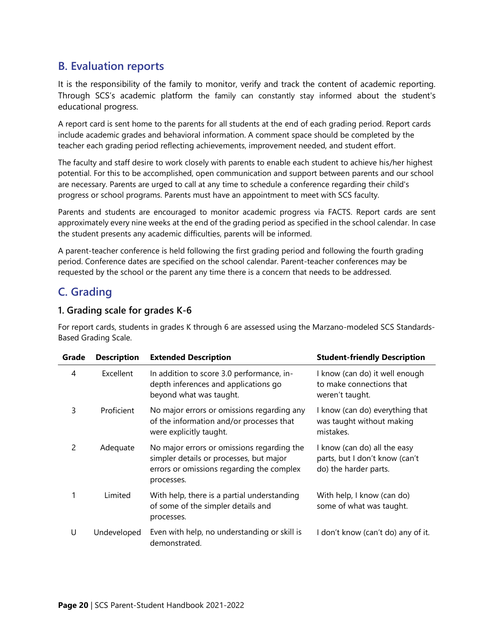## <span id="page-25-0"></span>**B. Evaluation reports**

It is the responsibility of the family to monitor, verify and track the content of academic reporting. Through SCS's academic platform the family can constantly stay informed about the student's educational progress.

A report card is sent home to the parents for all students at the end of each grading period. Report cards include academic grades and behavioral information. A comment space should be completed by the teacher each grading period reflecting achievements, improvement needed, and student effort.

The faculty and staff desire to work closely with parents to enable each student to achieve his/her highest potential. For this to be accomplished, open communication and support between parents and our school are necessary. Parents are urged to call at any time to schedule a conference regarding their child's progress or school programs. Parents must have an appointment to meet with SCS faculty.

Parents and students are encouraged to monitor academic progress via FACTS. Report cards are sent approximately every nine weeks at the end of the grading period as specified in the school calendar. In case the student presents any academic difficulties, parents will be informed.

A parent-teacher conference is held following the first grading period and following the fourth grading period. Conference dates are specified on the school calendar. Parent-teacher conferences may be requested by the school or the parent any time there is a concern that needs to be addressed.

## <span id="page-25-1"></span>**C. Grading**

#### **1. Grading scale for grades K-6**

For report cards, students in grades K through 6 are assessed using the Marzano-modeled SCS Standards-Based Grading Scale.

| Grade | <b>Description</b> | <b>Extended Description</b>                                                                                                                      | <b>Student-friendly Description</b>                                                     |
|-------|--------------------|--------------------------------------------------------------------------------------------------------------------------------------------------|-----------------------------------------------------------------------------------------|
| 4     | Excellent          | In addition to score 3.0 performance, in-<br>depth inferences and applications go<br>beyond what was taught.                                     | I know (can do) it well enough<br>to make connections that<br>weren't taught.           |
| 3     | Proficient         | No major errors or omissions regarding any<br>of the information and/or processes that<br>were explicitly taught.                                | I know (can do) everything that<br>was taught without making<br>mistakes.               |
| 2     | Adequate           | No major errors or omissions regarding the<br>simpler details or processes, but major<br>errors or omissions regarding the complex<br>processes. | I know (can do) all the easy<br>parts, but I don't know (can't<br>do) the harder parts. |
| 1     | Limited            | With help, there is a partial understanding<br>of some of the simpler details and<br>processes.                                                  | With help, I know (can do)<br>some of what was taught.                                  |
| U     | Undeveloped        | Even with help, no understanding or skill is<br>demonstrated.                                                                                    | I don't know (can't do) any of it.                                                      |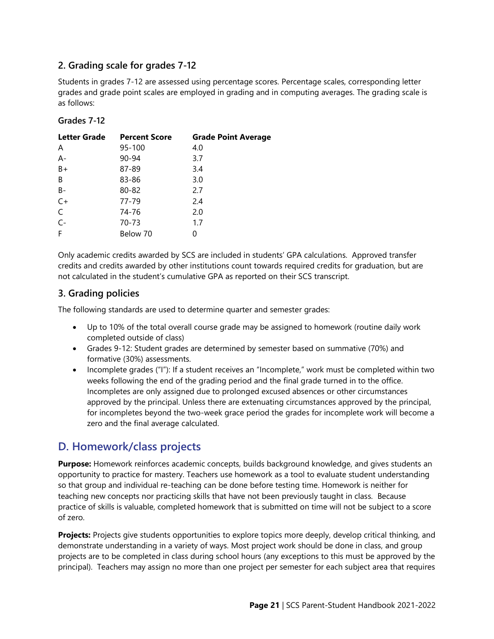#### **2. Grading scale for grades 7-12**

Students in grades 7-12 are assessed using percentage scores. Percentage scales, corresponding letter grades and grade point scales are employed in grading and in computing averages. The grading scale is as follows:

#### **Grades 7-12**

| <b>Letter Grade</b> | <b>Percent Score</b> | <b>Grade Point Average</b> |
|---------------------|----------------------|----------------------------|
| A                   | 95-100               | 4.0                        |
| $A -$               | 90-94                | 3.7                        |
| $B+$                | 87-89                | 3.4                        |
| B                   | 83-86                | 3.0                        |
| $B -$               | 80-82                | 2.7                        |
| $C+$                | 77-79                | 2.4                        |
| $\mathsf C$         | 74-76                | 2.0                        |
| $C -$               | 70-73                | 1.7                        |
| F                   | Below 70             | O                          |

Only academic credits awarded by SCS are included in students' GPA calculations. Approved transfer credits and credits awarded by other institutions count towards required credits for graduation, but are not calculated in the student's cumulative GPA as reported on their SCS transcript.

#### **3. Grading policies**

The following standards are used to determine quarter and semester grades:

- Up to 10% of the total overall course grade may be assigned to homework (routine daily work completed outside of class)
- Grades 9-12: Student grades are determined by semester based on summative (70%) and formative (30%) assessments.
- Incomplete grades ("I"): If a student receives an "Incomplete," work must be completed within two weeks following the end of the grading period and the final grade turned in to the office. Incompletes are only assigned due to prolonged excused absences or other circumstances approved by the principal. Unless there are extenuating circumstances approved by the principal, for incompletes beyond the two-week grace period the grades for incomplete work will become a zero and the final average calculated.

## <span id="page-26-0"></span>**D. Homework/class projects**

**Purpose:** Homework reinforces academic concepts, builds background knowledge, and gives students an opportunity to practice for mastery. Teachers use homework as a tool to evaluate student understanding so that group and individual re-teaching can be done before testing time. Homework is neither for teaching new concepts nor practicing skills that have not been previously taught in class. Because practice of skills is valuable, completed homework that is submitted on time will not be subject to a score of zero.

**Projects:** Projects give students opportunities to explore topics more deeply, develop critical thinking, and demonstrate understanding in a variety of ways. Most project work should be done in class, and group projects are to be completed in class during school hours (any exceptions to this must be approved by the principal). Teachers may assign no more than one project per semester for each subject area that requires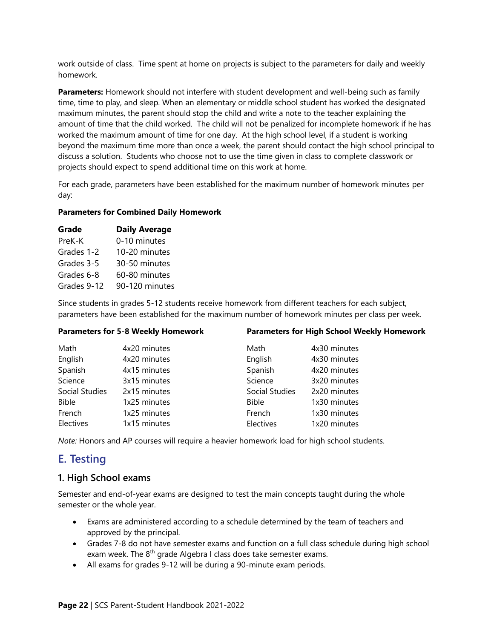work outside of class. Time spent at home on projects is subject to the parameters for daily and weekly homework.

**Parameters:** Homework should not interfere with student development and well-being such as family time, time to play, and sleep. When an elementary or middle school student has worked the designated maximum minutes, the parent should stop the child and write a note to the teacher explaining the amount of time that the child worked. The child will not be penalized for incomplete homework if he has worked the maximum amount of time for one day. At the high school level, if a student is working beyond the maximum time more than once a week, the parent should contact the high school principal to discuss a solution. Students who choose not to use the time given in class to complete classwork or projects should expect to spend additional time on this work at home.

For each grade, parameters have been established for the maximum number of homework minutes per day:

#### **Parameters for Combined Daily Homework**

| Grade       | <b>Daily Average</b> |
|-------------|----------------------|
| PreK-K      | 0-10 minutes         |
| Grades 1-2  | 10-20 minutes        |
| Grades 3-5  | 30-50 minutes        |
| Grades 6-8  | 60-80 minutes        |
| Grades 9-12 | 90-120 minutes       |
|             |                      |

Since students in grades 5-12 students receive homework from different teachers for each subject, parameters have been established for the maximum number of homework minutes per class per week.

| <b>Parameters for 5-8 Weekly Homework</b> |              | <b>Parameters for High School Weekly Homework</b> |              |
|-------------------------------------------|--------------|---------------------------------------------------|--------------|
| Math                                      | 4x20 minutes | Math                                              | 4x30 minutes |
| English                                   | 4x20 minutes | English                                           | 4x30 minutes |
| Spanish                                   | 4x15 minutes | Spanish                                           | 4x20 minutes |
| Science                                   | 3x15 minutes | Science                                           | 3x20 minutes |
| Social Studies                            | 2x15 minutes | Social Studies                                    | 2x20 minutes |
| <b>Bible</b>                              | 1x25 minutes | <b>Bible</b>                                      | 1x30 minutes |
| French                                    | 1x25 minutes | French                                            | 1x30 minutes |
| Electives                                 | 1x15 minutes | Electives                                         | 1x20 minutes |

*Note:* Honors and AP courses will require a heavier homework load for high school students.

## <span id="page-27-0"></span>**E. Testing**

#### **1. High School exams**

Semester and end-of-year exams are designed to test the main concepts taught during the whole semester or the whole year.

- Exams are administered according to a schedule determined by the team of teachers and approved by the principal.
- Grades 7-8 do not have semester exams and function on a full class schedule during high school exam week. The 8<sup>th</sup> grade Algebra I class does take semester exams.
- All exams for grades 9-12 will be during a 90-minute exam periods.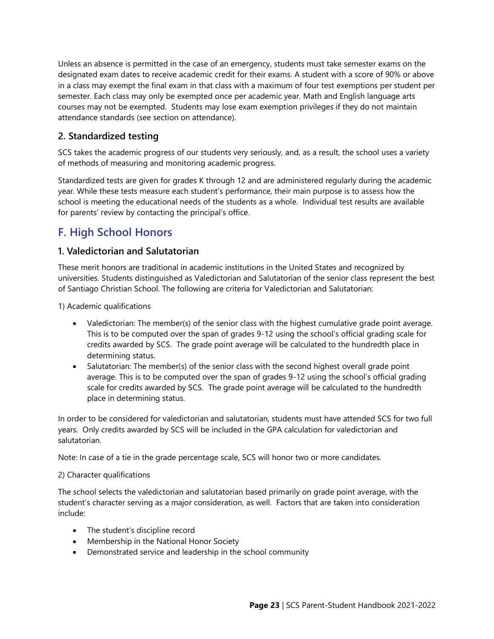Unless an absence is permitted in the case of an emergency, students must take semester exams on the designated exam dates to receive academic credit for their exams. A student with a score of 90% or above in a class may exempt the final exam in that class with a maximum of four test exemptions per student per semester. Each class may only be exempted once per academic year. Math and English language arts courses may not be exempted. Students may lose exam exemption privileges if they do not maintain attendance standards (see section on attendance).

### **2. Standardized testing**

SCS takes the academic progress of our students very seriously, and, as a result, the school uses a variety of methods of measuring and monitoring academic progress.

Standardized tests are given for grades K through 12 and are administered regularly during the academic year. While these tests measure each student's performance, their main purpose is to assess how the school is meeting the educational needs of the students as a whole. Individual test results are available for parents' review by contacting the principal's office.

## <span id="page-28-0"></span>**F. High School Honors**

#### **1. Valedictorian and Salutatorian**

These merit honors are traditional in academic institutions in the United States and recognized by universities. Students distinguished as Valedictorian and Salutatorian of the senior class represent the best of Santiago Christian School. The following are criteria for Valedictorian and Salutatorian:

1) Academic qualifications

- Valedictorian: The member(s) of the senior class with the highest cumulative grade point average. This is to be computed over the span of grades 9-12 using the school's official grading scale for credits awarded by SCS. The grade point average will be calculated to the hundredth place in determining status.
- Salutatorian: The member(s) of the senior class with the second highest overall grade point average. This is to be computed over the span of grades 9-12 using the school's official grading scale for credits awarded by SCS. The grade point average will be calculated to the hundredth place in determining status.

In order to be considered for valedictorian and salutatorian, students must have attended SCS for two full years. Only credits awarded by SCS will be included in the GPA calculation for valedictorian and salutatorian.

Note: In case of a tie in the grade percentage scale, SCS will honor two or more candidates.

#### 2) Character qualifications

The school selects the valedictorian and salutatorian based primarily on grade point average, with the student's character serving as a major consideration, as well. Factors that are taken into consideration include:

- The student's discipline record
- Membership in the National Honor Society
- Demonstrated service and leadership in the school community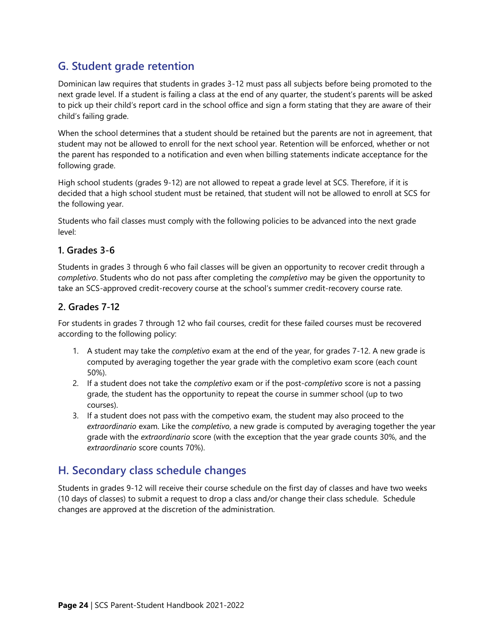## <span id="page-29-0"></span>**G. Student grade retention**

Dominican law requires that students in grades 3-12 must pass all subjects before being promoted to the next grade level. If a student is failing a class at the end of any quarter, the student's parents will be asked to pick up their child's report card in the school office and sign a form stating that they are aware of their child's failing grade.

When the school determines that a student should be retained but the parents are not in agreement, that student may not be allowed to enroll for the next school year. Retention will be enforced, whether or not the parent has responded to a notification and even when billing statements indicate acceptance for the following grade.

High school students (grades 9-12) are not allowed to repeat a grade level at SCS. Therefore, if it is decided that a high school student must be retained, that student will not be allowed to enroll at SCS for the following year.

Students who fail classes must comply with the following policies to be advanced into the next grade level:

#### **1. Grades 3-6**

Students in grades 3 through 6 who fail classes will be given an opportunity to recover credit through a *completivo*. Students who do not pass after completing the *completivo* may be given the opportunity to take an SCS-approved credit-recovery course at the school's summer credit-recovery course rate.

#### **2. Grades 7-12**

For students in grades 7 through 12 who fail courses, credit for these failed courses must be recovered according to the following policy:

- 1. A student may take the *completivo* exam at the end of the year, for grades 7-12. A new grade is computed by averaging together the year grade with the completivo exam score (each count 50%).
- 2. If a student does not take the *completivo* exam or if the post-*completivo* score is not a passing grade, the student has the opportunity to repeat the course in summer school (up to two courses).
- 3. If a student does not pass with the competivo exam, the student may also proceed to the *extraordinario* exam. Like the *completivo*, a new grade is computed by averaging together the year grade with the *extraordinario* score (with the exception that the year grade counts 30%, and the *extraordinario* score counts 70%).

## <span id="page-29-1"></span>**H. Secondary class schedule changes**

Students in grades 9-12 will receive their course schedule on the first day of classes and have two weeks (10 days of classes) to submit a request to drop a class and/or change their class schedule. Schedule changes are approved at the discretion of the administration.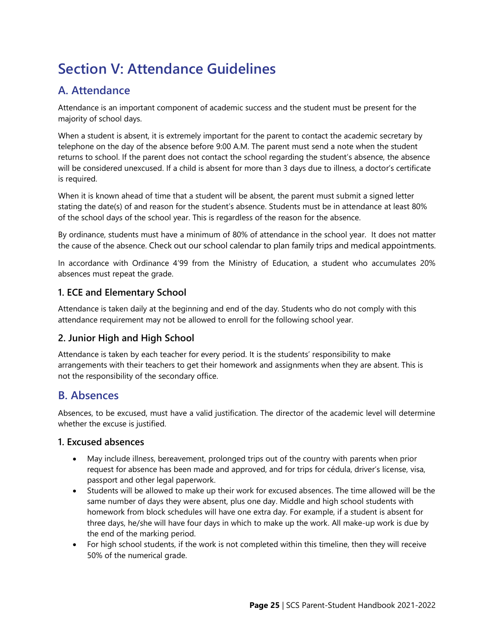## <span id="page-30-0"></span>**Section V: Attendance Guidelines**

## <span id="page-30-1"></span>**A. Attendance**

Attendance is an important component of academic success and the student must be present for the majority of school days.

When a student is absent, it is extremely important for the parent to contact the academic secretary by telephone on the day of the absence before 9:00 A.M. The parent must send a note when the student returns to school. If the parent does not contact the school regarding the student's absence, the absence will be considered unexcused. If a child is absent for more than 3 days due to illness, a doctor's certificate is required.

When it is known ahead of time that a student will be absent, the parent must submit a signed letter stating the date(s) of and reason for the student's absence. Students must be in attendance at least 80% of the school days of the school year. This is regardless of the reason for the absence.

By ordinance, students must have a minimum of 80% of attendance in the school year. It does not matter the cause of the absence. Check out our school calendar to plan family trips and medical appointments.

In accordance with Ordinance 4'99 from the Ministry of Education, a student who accumulates 20% absences must repeat the grade.

#### **1. ECE and Elementary School**

Attendance is taken daily at the beginning and end of the day. Students who do not comply with this attendance requirement may not be allowed to enroll for the following school year.

#### **2. Junior High and High School**

Attendance is taken by each teacher for every period. It is the students' responsibility to make arrangements with their teachers to get their homework and assignments when they are absent. This is not the responsibility of the secondary office.

## <span id="page-30-2"></span>**B. Absences**

Absences, to be excused, must have a valid justification. The director of the academic level will determine whether the excuse is justified.

#### **1. Excused absences**

- May include illness, bereavement, prolonged trips out of the country with parents when prior request for absence has been made and approved, and for trips for cédula, driver's license, visa, passport and other legal paperwork.
- Students will be allowed to make up their work for excused absences. The time allowed will be the same number of days they were absent, plus one day. Middle and high school students with homework from block schedules will have one extra day. For example, if a student is absent for three days, he/she will have four days in which to make up the work. All make-up work is due by the end of the marking period.
- For high school students, if the work is not completed within this timeline, then they will receive 50% of the numerical grade.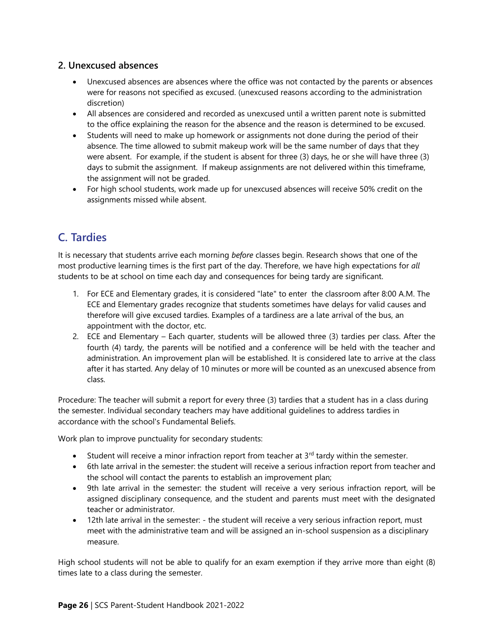#### **2. Unexcused absences**

- Unexcused absences are absences where the office was not contacted by the parents or absences were for reasons not specified as excused. (unexcused reasons according to the administration discretion)
- All absences are considered and recorded as unexcused until a written parent note is submitted to the office explaining the reason for the absence and the reason is determined to be excused.
- Students will need to make up homework or assignments not done during the period of their absence. The time allowed to submit makeup work will be the same number of days that they were absent. For example, if the student is absent for three (3) days, he or she will have three (3) days to submit the assignment. If makeup assignments are not delivered within this timeframe, the assignment will not be graded.
- For high school students, work made up for unexcused absences will receive 50% credit on the assignments missed while absent.

## <span id="page-31-0"></span>**C. Tardies**

It is necessary that students arrive each morning *before* classes begin. Research shows that one of the most productive learning times is the first part of the day. Therefore, we have high expectations for *all* students to be at school on time each day and consequences for being tardy are significant.

- 1. For ECE and Elementary grades, it is considered "late" to enter the classroom after 8:00 A.M. The ECE and Elementary grades recognize that students sometimes have delays for valid causes and therefore will give excused tardies. Examples of a tardiness are a late arrival of the bus, an appointment with the doctor, etc.
- 2. ECE and Elementary Each quarter, students will be allowed three (3) tardies per class. After the fourth (4) tardy, the parents will be notified and a conference will be held with the teacher and administration. An improvement plan will be established. It is considered late to arrive at the class after it has started. Any delay of 10 minutes or more will be counted as an unexcused absence from class.

Procedure: The teacher will submit a report for every three (3) tardies that a student has in a class during the semester. Individual secondary teachers may have additional guidelines to address tardies in accordance with the school's Fundamental Beliefs.

Work plan to improve punctuality for secondary students:

- Student will receive a minor infraction report from teacher at  $3<sup>rd</sup>$  tardy within the semester.
- 6th late arrival in the semester: the student will receive a serious infraction report from teacher and the school will contact the parents to establish an improvement plan;
- 9th late arrival in the semester: the student will receive a very serious infraction report, will be assigned disciplinary consequence, and the student and parents must meet with the designated teacher or administrator.
- 12th late arrival in the semester: the student will receive a very serious infraction report, must meet with the administrative team and will be assigned an in-school suspension as a disciplinary measure.

High school students will not be able to qualify for an exam exemption if they arrive more than eight (8) times late to a class during the semester.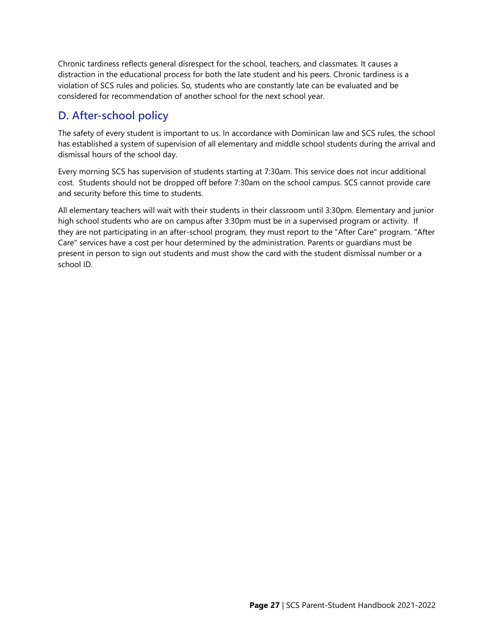Chronic tardiness reflects general disrespect for the school, teachers, and classmates. It causes a distraction in the educational process for both the late student and his peers. Chronic tardiness is a violation of SCS rules and policies. So, students who are constantly late can be evaluated and be considered for recommendation of another school for the next school year.

## <span id="page-32-0"></span>**D. After-school policy**

The safety of every student is important to us. In accordance with Dominican law and SCS rules, the school has established a system of supervision of all elementary and middle school students during the arrival and dismissal hours of the school day.

Every morning SCS has supervision of students starting at 7:30am. This service does not incur additional cost. Students should not be dropped off before 7:30am on the school campus. SCS cannot provide care and security before this time to students.

All elementary teachers will wait with their students in their classroom until 3:30pm. Elementary and junior high school students who are on campus after 3:30pm must be in a supervised program or activity. If they are not participating in an after-school program, they must report to the "After Care" program. "After Care" services have a cost per hour determined by the administration. Parents or guardians must be present in person to sign out students and must show the card with the student dismissal number or a school ID.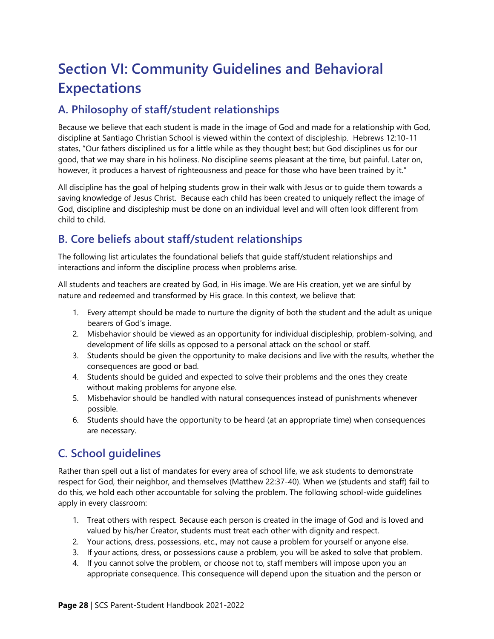## <span id="page-33-0"></span>**Section VI: Community Guidelines and Behavioral Expectations**

## <span id="page-33-1"></span>**A. Philosophy of staff/student relationships**

Because we believe that each student is made in the image of God and made for a relationship with God, discipline at Santiago Christian School is viewed within the context of discipleship. Hebrews 12:10-11 states, "Our fathers disciplined us for a little while as they thought best; but God disciplines us for our good, that we may share in his holiness. No discipline seems pleasant at the time, but painful. Later on, however, it produces a harvest of righteousness and peace for those who have been trained by it."

All discipline has the goal of helping students grow in their walk with Jesus or to guide them towards a saving knowledge of Jesus Christ. Because each child has been created to uniquely reflect the image of God, discipline and discipleship must be done on an individual level and will often look different from child to child.

## <span id="page-33-2"></span>**B. Core beliefs about staff/student relationships**

The following list articulates the foundational beliefs that guide staff/student relationships and interactions and inform the discipline process when problems arise.

All students and teachers are created by God, in His image. We are His creation, yet we are sinful by nature and redeemed and transformed by His grace. In this context, we believe that:

- 1. Every attempt should be made to nurture the dignity of both the student and the adult as unique bearers of God's image.
- 2. Misbehavior should be viewed as an opportunity for individual discipleship, problem-solving, and development of life skills as opposed to a personal attack on the school or staff.
- 3. Students should be given the opportunity to make decisions and live with the results, whether the consequences are good or bad.
- 4. Students should be guided and expected to solve their problems and the ones they create without making problems for anyone else.
- 5. Misbehavior should be handled with natural consequences instead of punishments whenever possible.
- 6. Students should have the opportunity to be heard (at an appropriate time) when consequences are necessary.

## <span id="page-33-3"></span>**C. School guidelines**

Rather than spell out a list of mandates for every area of school life, we ask students to demonstrate respect for God, their neighbor, and themselves (Matthew 22:37-40). When we (students and staff) fail to do this, we hold each other accountable for solving the problem. The following school-wide guidelines apply in every classroom:

- 1. Treat others with respect. Because each person is created in the image of God and is loved and valued by his/her Creator, students must treat each other with dignity and respect.
- 2. Your actions, dress, possessions, etc., may not cause a problem for yourself or anyone else.
- 3. If your actions, dress, or possessions cause a problem, you will be asked to solve that problem.
- 4. If you cannot solve the problem, or choose not to, staff members will impose upon you an appropriate consequence. This consequence will depend upon the situation and the person or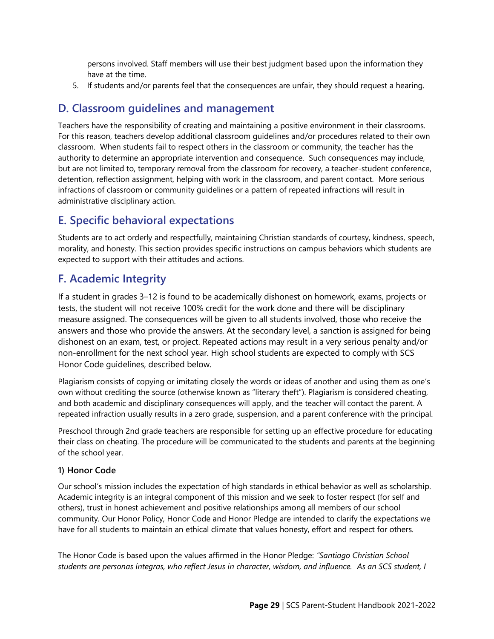persons involved. Staff members will use their best judgment based upon the information they have at the time.

5. If students and/or parents feel that the consequences are unfair, they should request a hearing.

### <span id="page-34-0"></span>**D. Classroom guidelines and management**

Teachers have the responsibility of creating and maintaining a positive environment in their classrooms. For this reason, teachers develop additional classroom guidelines and/or procedures related to their own classroom. When students fail to respect others in the classroom or community, the teacher has the authority to determine an appropriate intervention and consequence. Such consequences may include, but are not limited to, temporary removal from the classroom for recovery, a teacher-student conference, detention, reflection assignment, helping with work in the classroom, and parent contact. More serious infractions of classroom or community guidelines or a pattern of repeated infractions will result in administrative disciplinary action.

## <span id="page-34-1"></span>**E. Specific behavioral expectations**

Students are to act orderly and respectfully, maintaining Christian standards of courtesy, kindness, speech, morality, and honesty. This section provides specific instructions on campus behaviors which students are expected to support with their attitudes and actions.

## <span id="page-34-2"></span>**F. Academic Integrity**

If a student in grades 3–12 is found to be academically dishonest on homework, exams, projects or tests, the student will not receive 100% credit for the work done and there will be disciplinary measure assigned. The consequences will be given to all students involved, those who receive the answers and those who provide the answers. At the secondary level, a sanction is assigned for being dishonest on an exam, test, or project. Repeated actions may result in a very serious penalty and/or non-enrollment for the next school year. High school students are expected to comply with SCS Honor Code guidelines, described below.

Plagiarism consists of copying or imitating closely the words or ideas of another and using them as one's own without crediting the source (otherwise known as "literary theft"). Plagiarism is considered cheating, and both academic and disciplinary consequences will apply, and the teacher will contact the parent. A repeated infraction usually results in a zero grade, suspension, and a parent conference with the principal.

Preschool through 2nd grade teachers are responsible for setting up an effective procedure for educating their class on cheating. The procedure will be communicated to the students and parents at the beginning of the school year.

#### **1) Honor Code**

Our school's mission includes the expectation of high standards in ethical behavior as well as scholarship. Academic integrity is an integral component of this mission and we seek to foster respect (for self and others), trust in honest achievement and positive relationships among all members of our school community. Our Honor Policy, Honor Code and Honor Pledge are intended to clarify the expectations we have for all students to maintain an ethical climate that values honesty, effort and respect for others.

The Honor Code is based upon the values affirmed in the Honor Pledge: *"Santiago Christian School students are personas íntegras, who reflect Jesus in character, wisdom, and influence. As an SCS student, I*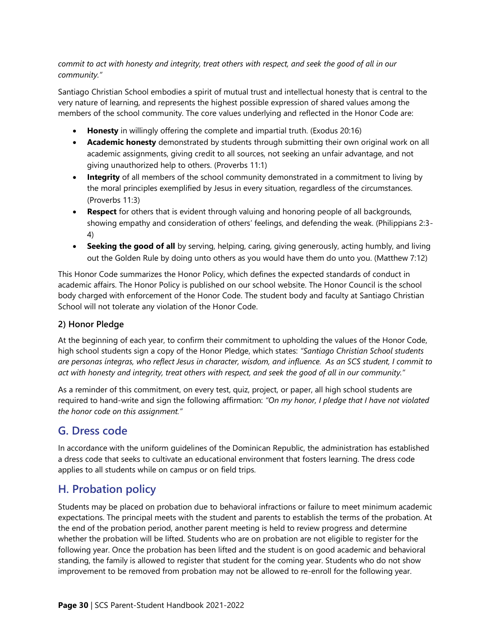*commit to act with honesty and integrity, treat others with respect, and seek the good of all in our community."*

Santiago Christian School embodies a spirit of mutual trust and intellectual honesty that is central to the very nature of learning, and represents the highest possible expression of shared values among the members of the school community. The core values underlying and reflected in the Honor Code are:

- **Honesty** in willingly offering the complete and impartial truth. (Exodus 20:16)
- **Academic honesty** demonstrated by students through submitting their own original work on all academic assignments, giving credit to all sources, not seeking an unfair advantage, and not giving unauthorized help to others. (Proverbs 11:1)
- **Integrity** of all members of the school community demonstrated in a commitment to living by the moral principles exemplified by Jesus in every situation, regardless of the circumstances. (Proverbs 11:3)
- **Respect** for others that is evident through valuing and honoring people of all backgrounds, showing empathy and consideration of others' feelings, and defending the weak. (Philippians 2:3- 4)
- **Seeking the good of all** by serving, helping, caring, giving generously, acting humbly, and living out the Golden Rule by doing unto others as you would have them do unto you. (Matthew 7:12)

This Honor Code summarizes the Honor Policy, which defines the expected standards of conduct in academic affairs. The Honor Policy is published on our school website. The Honor Council is the school body charged with enforcement of the Honor Code. The student body and faculty at Santiago Christian School will not tolerate any violation of the Honor Code.

#### **2) Honor Pledge**

At the beginning of each year, to confirm their commitment to upholding the values of the Honor Code, high school students sign a copy of the Honor Pledge, which states: *"Santiago Christian School students are personas íntegras, who reflect Jesus in character, wisdom, and influence. As an SCS student, I commit to act with honesty and integrity, treat others with respect, and seek the good of all in our community."*

As a reminder of this commitment, on every test, quiz, project, or paper, all high school students are required to hand-write and sign the following affirmation: *"On my honor, I pledge that I have not violated the honor code on this assignment."*

## <span id="page-35-0"></span>**G. Dress code**

In accordance with the uniform guidelines of the Dominican Republic, the administration has established a dress code that seeks to cultivate an educational environment that fosters learning. The dress code applies to all students while on campus or on field trips.

## <span id="page-35-1"></span>**H. Probation policy**

Students may be placed on probation due to behavioral infractions or failure to meet minimum academic expectations. The principal meets with the student and parents to establish the terms of the probation. At the end of the probation period, another parent meeting is held to review progress and determine whether the probation will be lifted. Students who are on probation are not eligible to register for the following year. Once the probation has been lifted and the student is on good academic and behavioral standing, the family is allowed to register that student for the coming year. Students who do not show improvement to be removed from probation may not be allowed to re-enroll for the following year.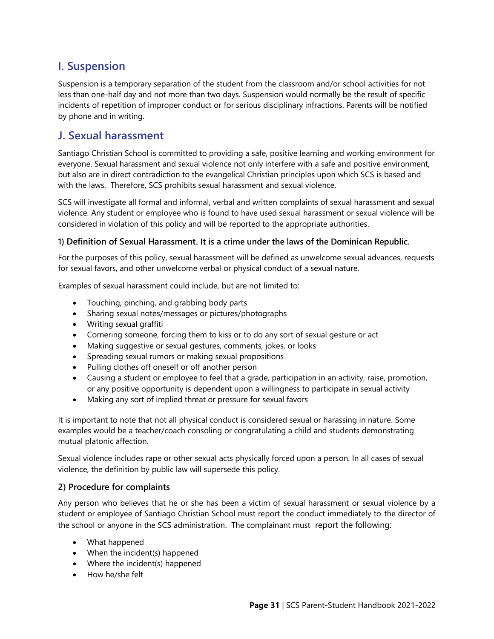## <span id="page-36-0"></span>**I. Suspension**

Suspension is a temporary separation of the student from the classroom and/or school activities for not less than one-half day and not more than two days. Suspension would normally be the result of specific incidents of repetition of improper conduct or for serious disciplinary infractions. Parents will be notified by phone and in writing.

## <span id="page-36-1"></span>**J. Sexual harassment**

Santiago Christian School is committed to providing a safe, positive learning and working environment for everyone. Sexual harassment and sexual violence not only interfere with a safe and positive environment, but also are in direct contradiction to the evangelical Christian principles upon which SCS is based and with the laws. Therefore, SCS prohibits sexual harassment and sexual violence.

SCS will investigate all formal and informal, verbal and written complaints of sexual harassment and sexual violence. Any student or employee who is found to have used sexual harassment or sexual violence will be considered in violation of this policy and will be reported to the appropriate authorities.

#### **1) Definition of Sexual Harassment. It is a crime under the laws of the Dominican Republic.**

For the purposes of this policy, sexual harassment will be defined as unwelcome sexual advances, requests for sexual favors, and other unwelcome verbal or physical conduct of a sexual nature.

Examples of sexual harassment could include, but are not limited to:

- Touching, pinching, and grabbing body parts
- Sharing sexual notes/messages or pictures/photographs
- Writing sexual graffiti
- Cornering someone, forcing them to kiss or to do any sort of sexual gesture or act
- Making suggestive or sexual gestures, comments, jokes, or looks
- Spreading sexual rumors or making sexual propositions
- Pulling clothes off oneself or off another person
- Causing a student or employee to feel that a grade, participation in an activity, raise, promotion, or any positive opportunity is dependent upon a willingness to participate in sexual activity
- Making any sort of implied threat or pressure for sexual favors

It is important to note that not all physical conduct is considered sexual or harassing in nature. Some examples would be a teacher/coach consoling or congratulating a child and students demonstrating mutual platonic affection.

Sexual violence includes rape or other sexual acts physically forced upon a person. In all cases of sexual violence, the definition by public law will supersede this policy.

#### **2) Procedure for complaints**

Any person who believes that he or she has been a victim of sexual harassment or sexual violence by a student or employee of Santiago Christian School must report the conduct immediately to the director of the school or anyone in the SCS administration. The complainant must report the following:

- What happened
- When the incident(s) happened
- Where the incident(s) happened
- How he/she felt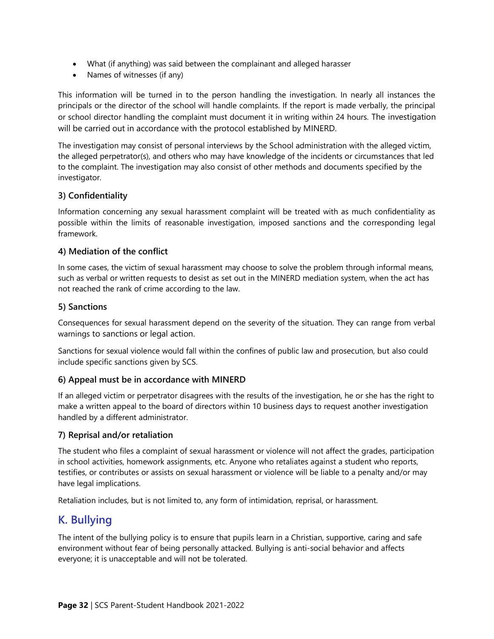- What (if anything) was said between the complainant and alleged harasser
- Names of witnesses (if any)

This information will be turned in to the person handling the investigation. In nearly all instances the principals or the director of the school will handle complaints. If the report is made verbally, the principal or school director handling the complaint must document it in writing within 24 hours. The investigation will be carried out in accordance with the protocol established by MINERD.

The investigation may consist of personal interviews by the School administration with the alleged victim, the alleged perpetrator(s), and others who may have knowledge of the incidents or circumstances that led to the complaint. The investigation may also consist of other methods and documents specified by the investigator.

#### **3) Confidentiality**

Information concerning any sexual harassment complaint will be treated with as much confidentiality as possible within the limits of reasonable investigation, imposed sanctions and the corresponding legal framework.

#### **4) Mediation of the conflict**

In some cases, the victim of sexual harassment may choose to solve the problem through informal means, such as verbal or written requests to desist as set out in the MINERD mediation system, when the act has not reached the rank of crime according to the law.

#### **5) Sanctions**

Consequences for sexual harassment depend on the severity of the situation. They can range from verbal warnings to sanctions or legal action.

Sanctions for sexual violence would fall within the confines of public law and prosecution, but also could include specific sanctions given by SCS.

#### **6) Appeal must be in accordance with MINERD**

If an alleged victim or perpetrator disagrees with the results of the investigation, he or she has the right to make a written appeal to the board of directors within 10 business days to request another investigation handled by a different administrator.

#### **7) Reprisal and/or retaliation**

The student who files a complaint of sexual harassment or violence will not affect the grades, participation in school activities, homework assignments, etc. Anyone who retaliates against a student who reports, testifies, or contributes or assists on sexual harassment or violence will be liable to a penalty and/or may have legal implications.

Retaliation includes, but is not limited to, any form of intimidation, reprisal, or harassment.

## <span id="page-37-0"></span>**K. Bullying**

The intent of the bullying policy is to ensure that pupils learn in a Christian, supportive, caring and safe environment without fear of being personally attacked. Bullying is anti-social behavior and affects everyone; it is unacceptable and will not be tolerated.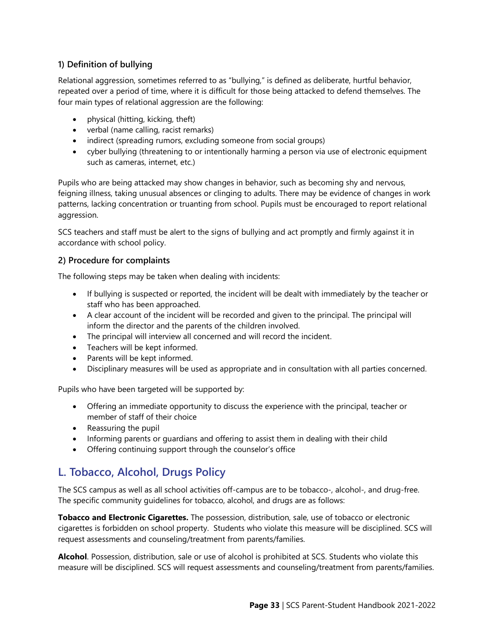#### **1) Definition of bullying**

Relational aggression, sometimes referred to as "bullying," is defined as deliberate, hurtful behavior, repeated over a period of time, where it is difficult for those being attacked to defend themselves. The four main types of relational aggression are the following:

- physical (hitting, kicking, theft)
- verbal (name calling, racist remarks)
- indirect (spreading rumors, excluding someone from social groups)
- cyber bullying (threatening to or intentionally harming a person via use of electronic equipment such as cameras, internet, etc.)

Pupils who are being attacked may show changes in behavior, such as becoming shy and nervous, feigning illness, taking unusual absences or clinging to adults. There may be evidence of changes in work patterns, lacking concentration or truanting from school. Pupils must be encouraged to report relational aggression.

SCS teachers and staff must be alert to the signs of bullying and act promptly and firmly against it in accordance with school policy.

#### **2) Procedure for complaints**

The following steps may be taken when dealing with incidents:

- If bullying is suspected or reported, the incident will be dealt with immediately by the teacher or staff who has been approached.
- A clear account of the incident will be recorded and given to the principal. The principal will inform the director and the parents of the children involved.
- The principal will interview all concerned and will record the incident.
- Teachers will be kept informed.
- Parents will be kept informed.
- Disciplinary measures will be used as appropriate and in consultation with all parties concerned.

Pupils who have been targeted will be supported by:

- Offering an immediate opportunity to discuss the experience with the principal, teacher or member of staff of their choice
- Reassuring the pupil
- Informing parents or guardians and offering to assist them in dealing with their child
- Offering continuing support through the counselor's office

## <span id="page-38-0"></span>**L. Tobacco, Alcohol, Drugs Policy**

The SCS campus as well as all school activities off-campus are to be tobacco-, alcohol-, and drug-free. The specific community guidelines for tobacco, alcohol, and drugs are as follows:

**Tobacco and Electronic Cigarettes.** The possession, distribution, sale, use of tobacco or electronic cigarettes is forbidden on school property. Students who violate this measure will be disciplined. SCS will request assessments and counseling/treatment from parents/families.

**Alcohol**. Possession, distribution, sale or use of alcohol is prohibited at SCS. Students who violate this measure will be disciplined. SCS will request assessments and counseling/treatment from parents/families.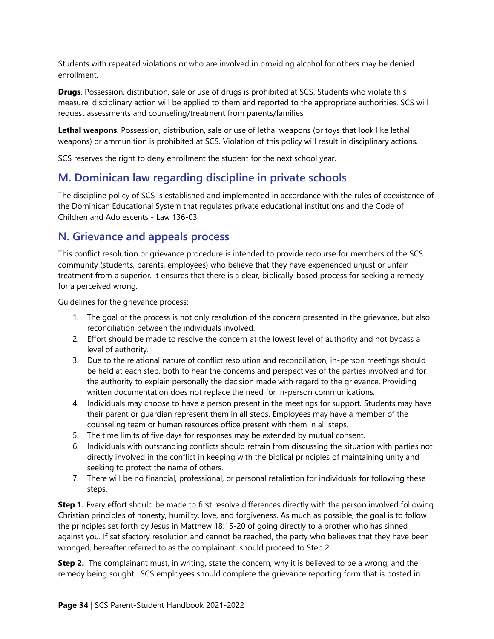Students with repeated violations or who are involved in providing alcohol for others may be denied enrollment.

**Drugs**. Possession, distribution, sale or use of drugs is prohibited at SCS. Students who violate this measure, disciplinary action will be applied to them and reported to the appropriate authorities. SCS will request assessments and counseling/treatment from parents/families.

**Lethal weapons**. Possession, distribution, sale or use of lethal weapons (or toys that look like lethal weapons) or ammunition is prohibited at SCS. Violation of this policy will result in disciplinary actions.

SCS reserves the right to deny enrollment the student for the next school year.

## <span id="page-39-0"></span>**M. Dominican law regarding discipline in private schools**

The discipline policy of SCS is established and implemented in accordance with the rules of coexistence of the Dominican Educational System that regulates private educational institutions and the Code of Children and Adolescents - Law 136-03.

## <span id="page-39-1"></span>**N. Grievance and appeals process**

This conflict resolution or grievance procedure is intended to provide recourse for members of the SCS community (students, parents, employees) who believe that they have experienced unjust or unfair treatment from a superior. It ensures that there is a clear, biblically-based process for seeking a remedy for a perceived wrong.

Guidelines for the grievance process:

- 1. The goal of the process is not only resolution of the concern presented in the grievance, but also reconciliation between the individuals involved.
- 2. Effort should be made to resolve the concern at the lowest level of authority and not bypass a level of authority.
- 3. Due to the relational nature of conflict resolution and reconciliation, in-person meetings should be held at each step, both to hear the concerns and perspectives of the parties involved and for the authority to explain personally the decision made with regard to the grievance. Providing written documentation does not replace the need for in-person communications.
- 4. Individuals may choose to have a person present in the meetings for support. Students may have their parent or guardian represent them in all steps. Employees may have a member of the counseling team or human resources office present with them in all steps.
- 5. The time limits of five days for responses may be extended by mutual consent.
- 6. Individuals with outstanding conflicts should refrain from discussing the situation with parties not directly involved in the conflict in keeping with the biblical principles of maintaining unity and seeking to protect the name of others.
- 7. There will be no financial, professional, or personal retaliation for individuals for following these steps.

**Step 1.** Every effort should be made to first resolve differences directly with the person involved following Christian principles of honesty, humility, love, and forgiveness. As much as possible, the goal is to follow the principles set forth by Jesus in Matthew 18:15-20 of going directly to a brother who has sinned against you. If satisfactory resolution and cannot be reached, the party who believes that they have been wronged, hereafter referred to as the complainant, should proceed to Step 2.

**Step 2.** The complainant must, in writing, state the concern, why it is believed to be a wrong, and the remedy being sought. SCS employees should complete the grievance reporting form that is posted in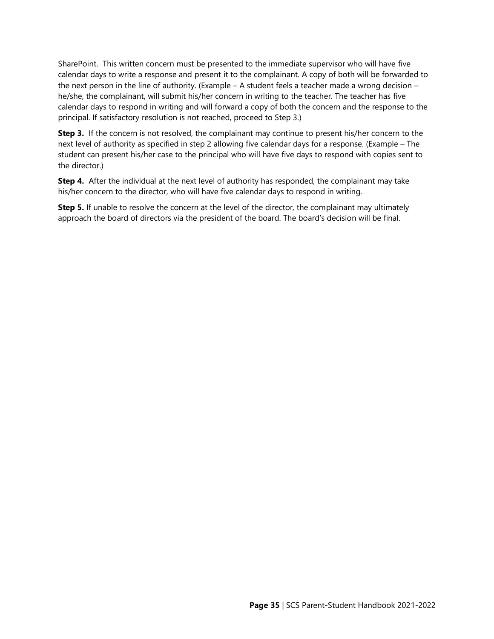SharePoint. This written concern must be presented to the immediate supervisor who will have five calendar days to write a response and present it to the complainant. A copy of both will be forwarded to the next person in the line of authority. (Example – A student feels a teacher made a wrong decision – he/she, the complainant, will submit his/her concern in writing to the teacher. The teacher has five calendar days to respond in writing and will forward a copy of both the concern and the response to the principal. If satisfactory resolution is not reached, proceed to Step 3.)

**Step 3.** If the concern is not resolved, the complainant may continue to present his/her concern to the next level of authority as specified in step 2 allowing five calendar days for a response. (Example – The student can present his/her case to the principal who will have five days to respond with copies sent to the director.)

**Step 4.** After the individual at the next level of authority has responded, the complainant may take his/her concern to the director, who will have five calendar days to respond in writing.

**Step 5.** If unable to resolve the concern at the level of the director, the complainant may ultimately approach the board of directors via the president of the board. The board's decision will be final.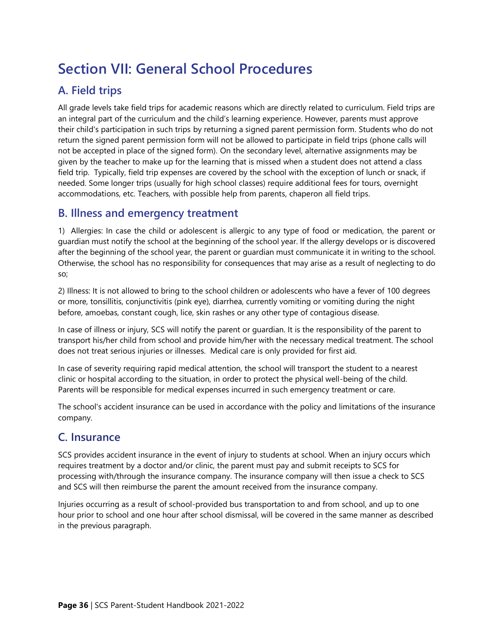## <span id="page-41-0"></span>**Section VII: General School Procedures**

## <span id="page-41-1"></span>**A. Field trips**

All grade levels take field trips for academic reasons which are directly related to curriculum. Field trips are an integral part of the curriculum and the child's learning experience. However, parents must approve their child's participation in such trips by returning a signed parent permission form. Students who do not return the signed parent permission form will not be allowed to participate in field trips (phone calls will not be accepted in place of the signed form). On the secondary level, alternative assignments may be given by the teacher to make up for the learning that is missed when a student does not attend a class field trip. Typically, field trip expenses are covered by the school with the exception of lunch or snack, if needed. Some longer trips (usually for high school classes) require additional fees for tours, overnight accommodations, etc. Teachers, with possible help from parents, chaperon all field trips.

## <span id="page-41-2"></span>**B. Illness and emergency treatment**

1) Allergies: In case the child or adolescent is allergic to any type of food or medication, the parent or guardian must notify the school at the beginning of the school year. If the allergy develops or is discovered after the beginning of the school year, the parent or guardian must communicate it in writing to the school. Otherwise, the school has no responsibility for consequences that may arise as a result of neglecting to do so;

2) Illness: It is not allowed to bring to the school children or adolescents who have a fever of 100 degrees or more, tonsillitis, conjunctivitis (pink eye), diarrhea, currently vomiting or vomiting during the night before, amoebas, constant cough, lice, skin rashes or any other type of contagious disease.

In case of illness or injury, SCS will notify the parent or guardian. It is the responsibility of the parent to transport his/her child from school and provide him/her with the necessary medical treatment. The school does not treat serious injuries or illnesses. Medical care is only provided for first aid.

In case of severity requiring rapid medical attention, the school will transport the student to a nearest clinic or hospital according to the situation, in order to protect the physical well-being of the child. Parents will be responsible for medical expenses incurred in such emergency treatment or care.

The school's accident insurance can be used in accordance with the policy and limitations of the insurance company.

## <span id="page-41-3"></span>**C. Insurance**

SCS provides accident insurance in the event of injury to students at school. When an injury occurs which requires treatment by a doctor and/or clinic, the parent must pay and submit receipts to SCS for processing with/through the insurance company. The insurance company will then issue a check to SCS and SCS will then reimburse the parent the amount received from the insurance company.

Injuries occurring as a result of school-provided bus transportation to and from school, and up to one hour prior to school and one hour after school dismissal, will be covered in the same manner as described in the previous paragraph.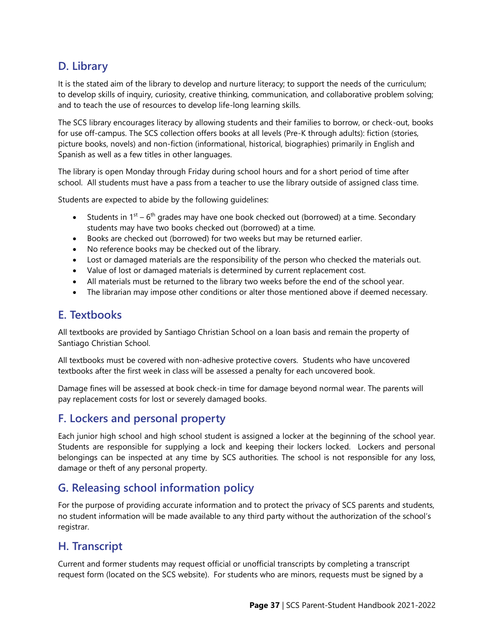## <span id="page-42-0"></span>**D. Library**

It is the stated aim of the library to develop and nurture literacy; to support the needs of the curriculum; to develop skills of inquiry, curiosity, creative thinking, communication, and collaborative problem solving; and to teach the use of resources to develop life-long learning skills.

The SCS library encourages literacy by allowing students and their families to borrow, or check-out, books for use off-campus. The SCS collection offers books at all levels (Pre-K through adults): fiction (stories, picture books, novels) and non-fiction (informational, historical, biographies) primarily in English and Spanish as well as a few titles in other languages.

The library is open Monday through Friday during school hours and for a short period of time after school. All students must have a pass from a teacher to use the library outside of assigned class time.

Students are expected to abide by the following guidelines:

- Students in  $1^{st}$   $6^{th}$  grades may have one book checked out (borrowed) at a time. Secondary students may have two books checked out (borrowed) at a time.
- Books are checked out (borrowed) for two weeks but may be returned earlier.
- No reference books may be checked out of the library.
- Lost or damaged materials are the responsibility of the person who checked the materials out.
- Value of lost or damaged materials is determined by current replacement cost.
- All materials must be returned to the library two weeks before the end of the school year.
- The librarian may impose other conditions or alter those mentioned above if deemed necessary.

## <span id="page-42-1"></span>**E. Textbooks**

All textbooks are provided by Santiago Christian School on a loan basis and remain the property of Santiago Christian School.

All textbooks must be covered with non-adhesive protective covers. Students who have uncovered textbooks after the first week in class will be assessed a penalty for each uncovered book.

Damage fines will be assessed at book check-in time for damage beyond normal wear. The parents will pay replacement costs for lost or severely damaged books.

## <span id="page-42-2"></span>**F. Lockers and personal property**

Each junior high school and high school student is assigned a locker at the beginning of the school year. Students are responsible for supplying a lock and keeping their lockers locked. Lockers and personal belongings can be inspected at any time by SCS authorities. The school is not responsible for any loss, damage or theft of any personal property.

## <span id="page-42-3"></span>**G. Releasing school information policy**

For the purpose of providing accurate information and to protect the privacy of SCS parents and students, no student information will be made available to any third party without the authorization of the school's registrar.

## <span id="page-42-4"></span>**H. Transcript**

Current and former students may request official or unofficial transcripts by completing a transcript request form (located on the SCS website). For students who are minors, requests must be signed by a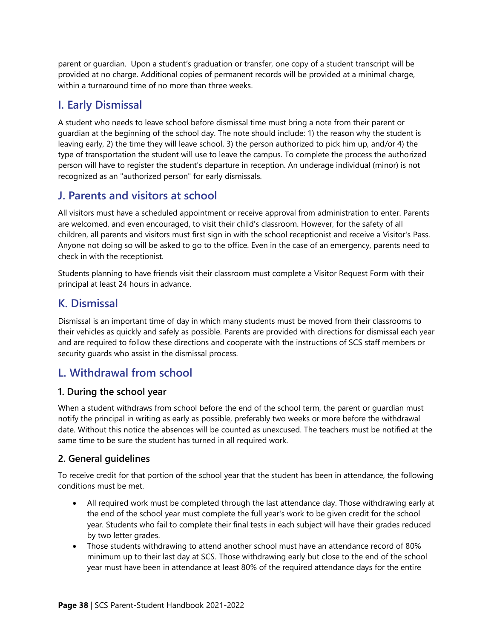parent or guardian. Upon a student's graduation or transfer, one copy of a student transcript will be provided at no charge. Additional copies of permanent records will be provided at a minimal charge, within a turnaround time of no more than three weeks.

## <span id="page-43-0"></span>**I. Early Dismissal**

A student who needs to leave school before dismissal time must bring a note from their parent or guardian at the beginning of the school day. The note should include: 1) the reason why the student is leaving early, 2) the time they will leave school, 3) the person authorized to pick him up, and/or 4) the type of transportation the student will use to leave the campus. To complete the process the authorized person will have to register the student's departure in reception. An underage individual (minor) is not recognized as an "authorized person" for early dismissals.

## <span id="page-43-1"></span>**J. Parents and visitors at school**

All visitors must have a scheduled appointment or receive approval from administration to enter. Parents are welcomed, and even encouraged, to visit their child's classroom. However, for the safety of all children, all parents and visitors must first sign in with the school receptionist and receive a Visitor's Pass. Anyone not doing so will be asked to go to the office. Even in the case of an emergency, parents need to check in with the receptionist.

Students planning to have friends visit their classroom must complete a Visitor Request Form with their principal at least 24 hours in advance.

## <span id="page-43-2"></span>**K. Dismissal**

Dismissal is an important time of day in which many students must be moved from their classrooms to their vehicles as quickly and safely as possible. Parents are provided with directions for dismissal each year and are required to follow these directions and cooperate with the instructions of SCS staff members or security guards who assist in the dismissal process.

## <span id="page-43-3"></span>**L. Withdrawal from school**

#### **1. During the school year**

When a student withdraws from school before the end of the school term, the parent or guardian must notify the principal in writing as early as possible, preferably two weeks or more before the withdrawal date. Without this notice the absences will be counted as unexcused. The teachers must be notified at the same time to be sure the student has turned in all required work.

#### **2. General guidelines**

To receive credit for that portion of the school year that the student has been in attendance, the following conditions must be met.

- All required work must be completed through the last attendance day. Those withdrawing early at the end of the school year must complete the full year's work to be given credit for the school year. Students who fail to complete their final tests in each subject will have their grades reduced by two letter grades.
- Those students withdrawing to attend another school must have an attendance record of 80% minimum up to their last day at SCS. Those withdrawing early but close to the end of the school year must have been in attendance at least 80% of the required attendance days for the entire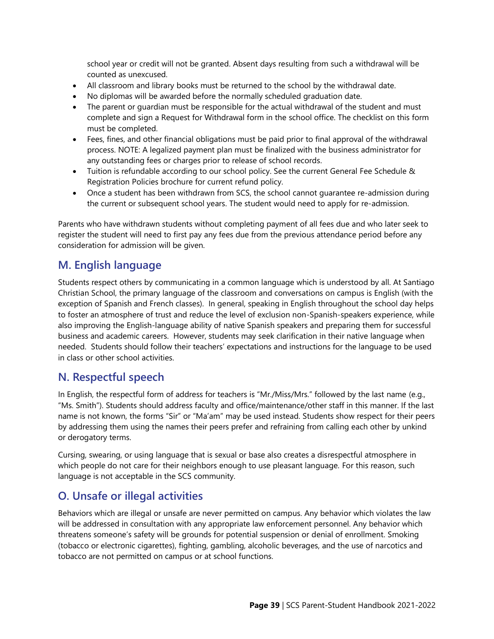school year or credit will not be granted. Absent days resulting from such a withdrawal will be counted as unexcused.

- All classroom and library books must be returned to the school by the withdrawal date.
- No diplomas will be awarded before the normally scheduled graduation date.
- The parent or quardian must be responsible for the actual withdrawal of the student and must complete and sign a Request for Withdrawal form in the school office. The checklist on this form must be completed.
- Fees, fines, and other financial obligations must be paid prior to final approval of the withdrawal process. NOTE: A legalized payment plan must be finalized with the business administrator for any outstanding fees or charges prior to release of school records.
- Tuition is refundable according to our school policy. See the current General Fee Schedule & Registration Policies brochure for current refund policy.
- Once a student has been withdrawn from SCS, the school cannot quarantee re-admission during the current or subsequent school years. The student would need to apply for re-admission.

Parents who have withdrawn students without completing payment of all fees due and who later seek to register the student will need to first pay any fees due from the previous attendance period before any consideration for admission will be given.

## <span id="page-44-0"></span>**M. English language**

Students respect others by communicating in a common language which is understood by all. At Santiago Christian School, the primary language of the classroom and conversations on campus is English (with the exception of Spanish and French classes). In general, speaking in English throughout the school day helps to foster an atmosphere of trust and reduce the level of exclusion non-Spanish-speakers experience, while also improving the English-language ability of native Spanish speakers and preparing them for successful business and academic careers. However, students may seek clarification in their native language when needed. Students should follow their teachers' expectations and instructions for the language to be used in class or other school activities.

## <span id="page-44-1"></span>**N. Respectful speech**

In English, the respectful form of address for teachers is "Mr./Miss/Mrs." followed by the last name (e.g., "Ms. Smith"). Students should address faculty and office/maintenance/other staff in this manner. If the last name is not known, the forms "Sir" or "Ma'am" may be used instead. Students show respect for their peers by addressing them using the names their peers prefer and refraining from calling each other by unkind or derogatory terms.

Cursing, swearing, or using language that is sexual or base also creates a disrespectful atmosphere in which people do not care for their neighbors enough to use pleasant language. For this reason, such language is not acceptable in the SCS community.

## <span id="page-44-2"></span>**O. Unsafe or illegal activities**

Behaviors which are illegal or unsafe are never permitted on campus. Any behavior which violates the law will be addressed in consultation with any appropriate law enforcement personnel. Any behavior which threatens someone's safety will be grounds for potential suspension or denial of enrollment. Smoking (tobacco or electronic cigarettes), fighting, gambling, alcoholic beverages, and the use of narcotics and tobacco are not permitted on campus or at school functions.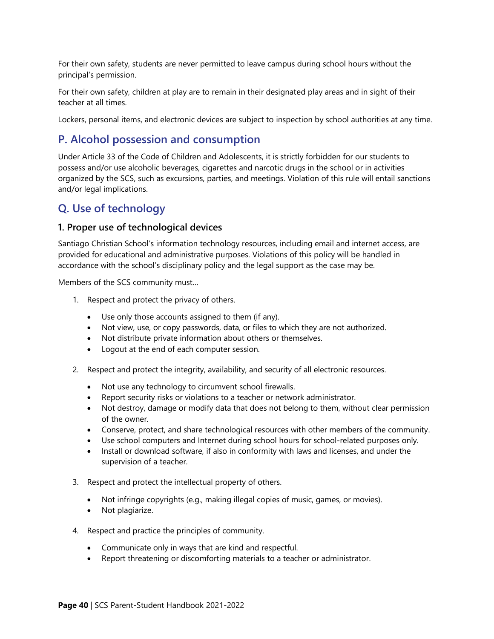For their own safety, students are never permitted to leave campus during school hours without the principal's permission.

For their own safety, children at play are to remain in their designated play areas and in sight of their teacher at all times.

Lockers, personal items, and electronic devices are subject to inspection by school authorities at any time.

## <span id="page-45-0"></span>**P. Alcohol possession and consumption**

Under Article 33 of the Code of Children and Adolescents, it is strictly forbidden for our students to possess and/or use alcoholic beverages, cigarettes and narcotic drugs in the school or in activities organized by the SCS, such as excursions, parties, and meetings. Violation of this rule will entail sanctions and/or legal implications.

## <span id="page-45-1"></span>**Q. Use of technology**

#### **1. Proper use of technological devices**

Santiago Christian School's information technology resources, including email and internet access, are provided for educational and administrative purposes. Violations of this policy will be handled in accordance with the school's disciplinary policy and the legal support as the case may be.

Members of the SCS community must…

- 1. Respect and protect the privacy of others.
	- Use only those accounts assigned to them (if any).
	- Not view, use, or copy passwords, data, or files to which they are not authorized.
	- Not distribute private information about others or themselves.
	- Logout at the end of each computer session.
- 2. Respect and protect the integrity, availability, and security of all electronic resources.
	- Not use any technology to circumvent school firewalls.
	- Report security risks or violations to a teacher or network administrator.
	- Not destroy, damage or modify data that does not belong to them, without clear permission of the owner.
	- Conserve, protect, and share technological resources with other members of the community.
	- Use school computers and Internet during school hours for school-related purposes only.
	- Install or download software, if also in conformity with laws and licenses, and under the supervision of a teacher.
- 3. Respect and protect the intellectual property of others.
	- Not infringe copyrights (e.g., making illegal copies of music, games, or movies).
	- Not plagiarize.
- 4. Respect and practice the principles of community.
	- Communicate only in ways that are kind and respectful.
	- Report threatening or discomforting materials to a teacher or administrator.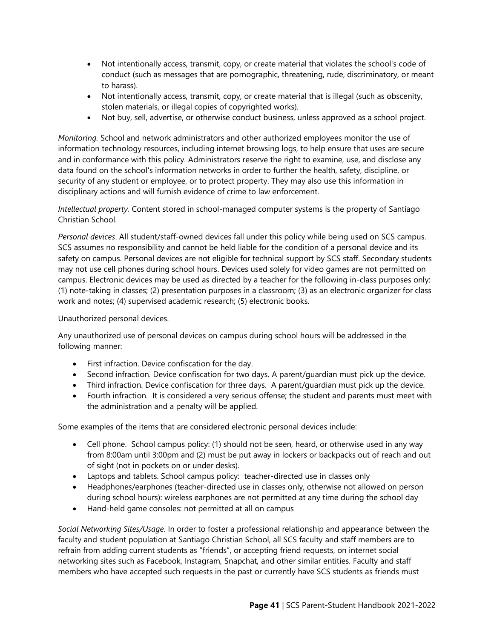- Not intentionally access, transmit, copy, or create material that violates the school's code of conduct (such as messages that are pornographic, threatening, rude, discriminatory, or meant to harass).
- Not intentionally access, transmit, copy, or create material that is illegal (such as obscenity, stolen materials, or illegal copies of copyrighted works).
- Not buy, sell, advertise, or otherwise conduct business, unless approved as a school project.

*Monitoring.* School and network administrators and other authorized employees monitor the use of information technology resources, including internet browsing logs, to help ensure that uses are secure and in conformance with this policy. Administrators reserve the right to examine, use, and disclose any data found on the school's information networks in order to further the health, safety, discipline, or security of any student or employee, or to protect property. They may also use this information in disciplinary actions and will furnish evidence of crime to law enforcement.

*Intellectual property.* Content stored in school-managed computer systems is the property of Santiago Christian School.

*Personal devices*. All student/staff-owned devices fall under this policy while being used on SCS campus. SCS assumes no responsibility and cannot be held liable for the condition of a personal device and its safety on campus. Personal devices are not eligible for technical support by SCS staff. Secondary students may not use cell phones during school hours. Devices used solely for video games are not permitted on campus. Electronic devices may be used as directed by a teacher for the following in-class purposes only: (1) note-taking in classes; (2) presentation purposes in a classroom; (3) as an electronic organizer for class work and notes; (4) supervised academic research; (5) electronic books.

Unauthorized personal devices.

Any unauthorized use of personal devices on campus during school hours will be addressed in the following manner:

- First infraction. Device confiscation for the day.
- Second infraction. Device confiscation for two days. A parent/guardian must pick up the device.
- Third infraction. Device confiscation for three days. A parent/guardian must pick up the device.
- Fourth infraction. It is considered a very serious offense; the student and parents must meet with the administration and a penalty will be applied.

Some examples of the items that are considered electronic personal devices include:

- Cell phone. School campus policy: (1) should not be seen, heard, or otherwise used in any way from 8:00am until 3:00pm and (2) must be put away in lockers or backpacks out of reach and out of sight (not in pockets on or under desks).
- Laptops and tablets. School campus policy: teacher-directed use in classes only
- Headphones/earphones (teacher-directed use in classes only, otherwise not allowed on person during school hours): wireless earphones are not permitted at any time during the school day
- Hand-held game consoles: not permitted at all on campus

*Social Networking Sites/Usage*. In order to foster a professional relationship and appearance between the faculty and student population at Santiago Christian School, all SCS faculty and staff members are to refrain from adding current students as "friends", or accepting friend requests, on internet social networking sites such as Facebook, Instagram, Snapchat, and other similar entities. Faculty and staff members who have accepted such requests in the past or currently have SCS students as friends must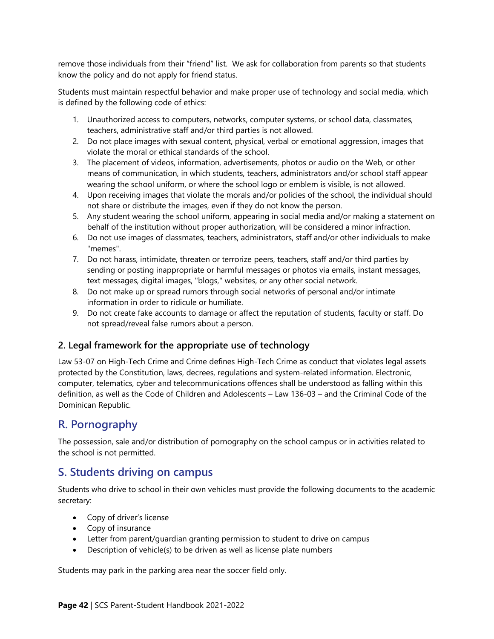remove those individuals from their "friend" list. We ask for collaboration from parents so that students know the policy and do not apply for friend status.

Students must maintain respectful behavior and make proper use of technology and social media, which is defined by the following code of ethics:

- 1. Unauthorized access to computers, networks, computer systems, or school data, classmates, teachers, administrative staff and/or third parties is not allowed.
- 2. Do not place images with sexual content, physical, verbal or emotional aggression, images that violate the moral or ethical standards of the school.
- 3. The placement of videos, information, advertisements, photos or audio on the Web, or other means of communication, in which students, teachers, administrators and/or school staff appear wearing the school uniform, or where the school logo or emblem is visible, is not allowed.
- 4. Upon receiving images that violate the morals and/or policies of the school, the individual should not share or distribute the images, even if they do not know the person.
- 5. Any student wearing the school uniform, appearing in social media and/or making a statement on behalf of the institution without proper authorization, will be considered a minor infraction.
- 6. Do not use images of classmates, teachers, administrators, staff and/or other individuals to make "memes".
- 7. Do not harass, intimidate, threaten or terrorize peers, teachers, staff and/or third parties by sending or posting inappropriate or harmful messages or photos via emails, instant messages, text messages, digital images, "blogs," websites, or any other social network.
- 8. Do not make up or spread rumors through social networks of personal and/or intimate information in order to ridicule or humiliate.
- 9. Do not create fake accounts to damage or affect the reputation of students, faculty or staff. Do not spread/reveal false rumors about a person.

#### **2. Legal framework for the appropriate use of technology**

Law 53-07 on High-Tech Crime and Crime defines High-Tech Crime as conduct that violates legal assets protected by the Constitution, laws, decrees, regulations and system-related information. Electronic, computer, telematics, cyber and telecommunications offences shall be understood as falling within this definition, as well as the Code of Children and Adolescents – Law 136-03 – and the Criminal Code of the Dominican Republic.

## <span id="page-47-0"></span>**R. Pornography**

The possession, sale and/or distribution of pornography on the school campus or in activities related to the school is not permitted.

## <span id="page-47-1"></span>**S. Students driving on campus**

Students who drive to school in their own vehicles must provide the following documents to the academic secretary:

- Copy of driver's license
- Copy of insurance
- Letter from parent/guardian granting permission to student to drive on campus
- Description of vehicle(s) to be driven as well as license plate numbers

Students may park in the parking area near the soccer field only.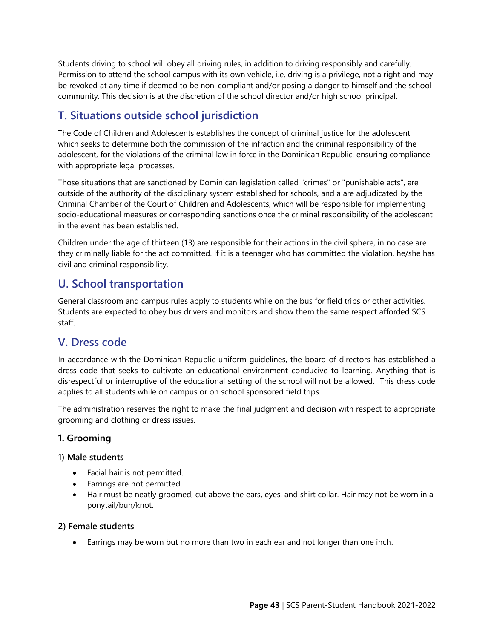Students driving to school will obey all driving rules, in addition to driving responsibly and carefully. Permission to attend the school campus with its own vehicle, i.e. driving is a privilege, not a right and may be revoked at any time if deemed to be non-compliant and/or posing a danger to himself and the school community. This decision is at the discretion of the school director and/or high school principal.

## <span id="page-48-0"></span>**T. Situations outside school jurisdiction**

The Code of Children and Adolescents establishes the concept of criminal justice for the adolescent which seeks to determine both the commission of the infraction and the criminal responsibility of the adolescent, for the violations of the criminal law in force in the Dominican Republic, ensuring compliance with appropriate legal processes.

Those situations that are sanctioned by Dominican legislation called "crimes" or "punishable acts", are outside of the authority of the disciplinary system established for schools, and a are adjudicated by the Criminal Chamber of the Court of Children and Adolescents, which will be responsible for implementing socio-educational measures or corresponding sanctions once the criminal responsibility of the adolescent in the event has been established.

Children under the age of thirteen (13) are responsible for their actions in the civil sphere, in no case are they criminally liable for the act committed. If it is a teenager who has committed the violation, he/she has civil and criminal responsibility.

## <span id="page-48-1"></span>**U. School transportation**

General classroom and campus rules apply to students while on the bus for field trips or other activities. Students are expected to obey bus drivers and monitors and show them the same respect afforded SCS staff.

## <span id="page-48-2"></span>**V. Dress code**

In accordance with the Dominican Republic uniform guidelines, the board of directors has established a dress code that seeks to cultivate an educational environment conducive to learning. Anything that is disrespectful or interruptive of the educational setting of the school will not be allowed. This dress code applies to all students while on campus or on school sponsored field trips.

The administration reserves the right to make the final judgment and decision with respect to appropriate grooming and clothing or dress issues.

#### **1. Grooming**

#### **1) Male students**

- Facial hair is not permitted.
- Earrings are not permitted.
- Hair must be neatly groomed, cut above the ears, eyes, and shirt collar. Hair may not be worn in a ponytail/bun/knot.

#### **2) Female students**

Earrings may be worn but no more than two in each ear and not longer than one inch.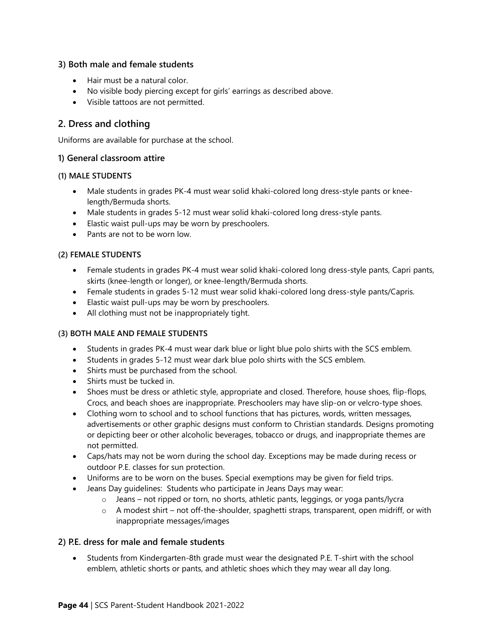#### **3) Both male and female students**

- Hair must be a natural color.
- No visible body piercing except for girls' earrings as described above.
- Visible tattoos are not permitted.

#### **2. Dress and clothing**

Uniforms are available for purchase at the school.

#### **1) General classroom attire**

#### **(1) MALE STUDENTS**

- Male students in grades PK-4 must wear solid khaki-colored long dress-style pants or kneelength/Bermuda shorts.
- Male students in grades 5-12 must wear solid khaki-colored long dress-style pants.
- Elastic waist pull-ups may be worn by preschoolers.
- Pants are not to be worn low.

#### **(2) FEMALE STUDENTS**

- Female students in grades PK-4 must wear solid khaki-colored long dress-style pants, Capri pants, skirts (knee-length or longer), or knee-length/Bermuda shorts.
- Female students in grades 5-12 must wear solid khaki-colored long dress-style pants/Capris.
- Elastic waist pull-ups may be worn by preschoolers.
- All clothing must not be inappropriately tight.

#### **(3) BOTH MALE AND FEMALE STUDENTS**

- Students in grades PK-4 must wear dark blue or light blue polo shirts with the SCS emblem.
- Students in grades 5-12 must wear dark blue polo shirts with the SCS emblem.
- Shirts must be purchased from the school.
- Shirts must be tucked in.
- Shoes must be dress or athletic style, appropriate and closed. Therefore, house shoes, flip-flops, Crocs, and beach shoes are inappropriate. Preschoolers may have slip-on or velcro-type shoes.
- Clothing worn to school and to school functions that has pictures, words, written messages, advertisements or other graphic designs must conform to Christian standards. Designs promoting or depicting beer or other alcoholic beverages, tobacco or drugs, and inappropriate themes are not permitted.
- Caps/hats may not be worn during the school day. Exceptions may be made during recess or outdoor P.E. classes for sun protection.
- Uniforms are to be worn on the buses. Special exemptions may be given for field trips.
- Jeans Day guidelines: Students who participate in Jeans Days may wear:
	- $\circ$  Jeans not ripped or torn, no shorts, athletic pants, leggings, or yoga pants/lycra
	- o A modest shirt not off-the-shoulder, spaghetti straps, transparent, open midriff, or with inappropriate messages/images

#### **2) P.E. dress for male and female students**

• Students from Kindergarten-8th grade must wear the designated P.E. T-shirt with the school emblem, athletic shorts or pants, and athletic shoes which they may wear all day long.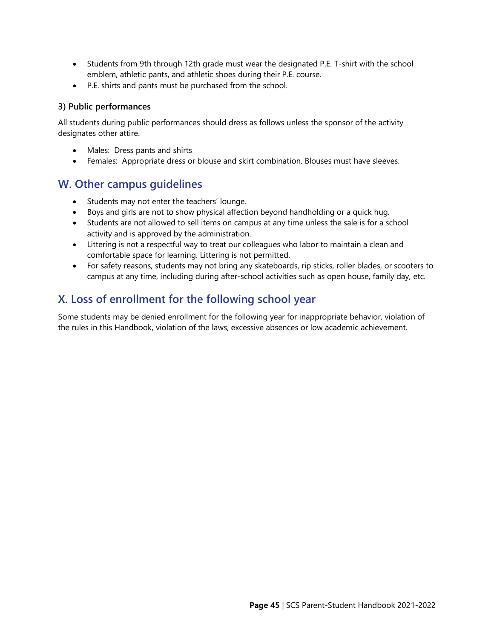- Students from 9th through 12th grade must wear the designated P.E. T-shirt with the school emblem, athletic pants, and athletic shoes during their P.E. course.
- P.E. shirts and pants must be purchased from the school.

#### **3) Public performances**

All students during public performances should dress as follows unless the sponsor of the activity designates other attire.

- Males: Dress pants and shirts
- Females: Appropriate dress or blouse and skirt combination. Blouses must have sleeves.

## <span id="page-50-0"></span>**W. Other campus guidelines**

- Students may not enter the teachers' lounge.
- Boys and girls are not to show physical affection beyond handholding or a quick hug.
- Students are not allowed to sell items on campus at any time unless the sale is for a school activity and is approved by the administration.
- Littering is not a respectful way to treat our colleagues who labor to maintain a clean and comfortable space for learning. Littering is not permitted.
- For safety reasons, students may not bring any skateboards, rip sticks, roller blades, or scooters to campus at any time, including during after-school activities such as open house, family day, etc.

## <span id="page-50-1"></span>**X. Loss of enrollment for the following school year**

Some students may be denied enrollment for the following year for inappropriate behavior, violation of the rules in this Handbook, violation of the laws, excessive absences or low academic achievement.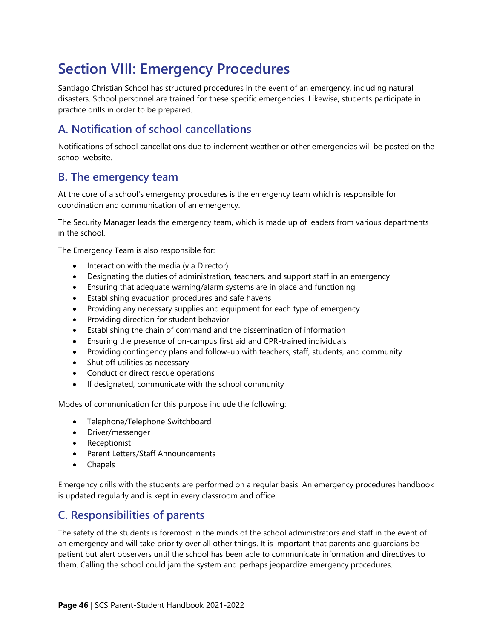## <span id="page-51-0"></span>**Section VIII: Emergency Procedures**

Santiago Christian School has structured procedures in the event of an emergency, including natural disasters. School personnel are trained for these specific emergencies. Likewise, students participate in practice drills in order to be prepared.

## <span id="page-51-1"></span>**A. Notification of school cancellations**

Notifications of school cancellations due to inclement weather or other emergencies will be posted on the school website.

## <span id="page-51-2"></span>**B. The emergency team**

At the core of a school's emergency procedures is the emergency team which is responsible for coordination and communication of an emergency.

The Security Manager leads the emergency team, which is made up of leaders from various departments in the school.

The Emergency Team is also responsible for:

- Interaction with the media (via Director)
- Designating the duties of administration, teachers, and support staff in an emergency
- Ensuring that adequate warning/alarm systems are in place and functioning
- Establishing evacuation procedures and safe havens
- Providing any necessary supplies and equipment for each type of emergency
- Providing direction for student behavior
- Establishing the chain of command and the dissemination of information
- Ensuring the presence of on-campus first aid and CPR-trained individuals
- Providing contingency plans and follow-up with teachers, staff, students, and community
- Shut off utilities as necessary
- Conduct or direct rescue operations
- If designated, communicate with the school community

Modes of communication for this purpose include the following:

- Telephone/Telephone Switchboard
- Driver/messenger
- Receptionist
- Parent Letters/Staff Announcements
- Chapels

Emergency drills with the students are performed on a regular basis. An emergency procedures handbook is updated regularly and is kept in every classroom and office.

## <span id="page-51-3"></span>**C. Responsibilities of parents**

The safety of the students is foremost in the minds of the school administrators and staff in the event of an emergency and will take priority over all other things. It is important that parents and guardians be patient but alert observers until the school has been able to communicate information and directives to them. Calling the school could jam the system and perhaps jeopardize emergency procedures.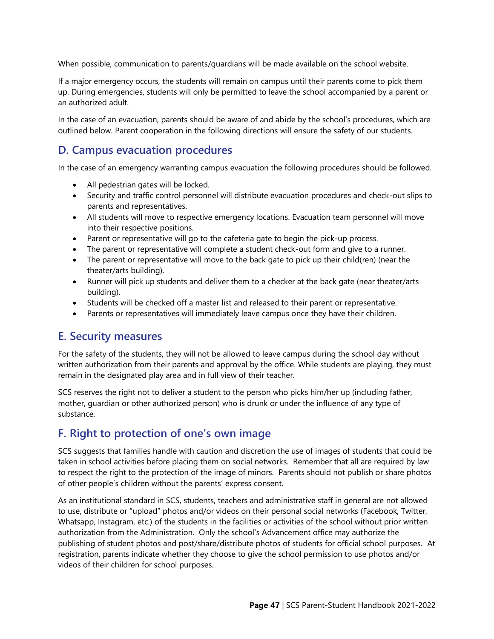When possible, communication to parents/guardians will be made available on the school website.

If a major emergency occurs, the students will remain on campus until their parents come to pick them up. During emergencies, students will only be permitted to leave the school accompanied by a parent or an authorized adult.

In the case of an evacuation, parents should be aware of and abide by the school's procedures, which are outlined below. Parent cooperation in the following directions will ensure the safety of our students.

## <span id="page-52-0"></span>**D. Campus evacuation procedures**

In the case of an emergency warranting campus evacuation the following procedures should be followed.

- All pedestrian gates will be locked.
- Security and traffic control personnel will distribute evacuation procedures and check-out slips to parents and representatives.
- All students will move to respective emergency locations. Evacuation team personnel will move into their respective positions.
- Parent or representative will go to the cafeteria gate to begin the pick-up process.
- The parent or representative will complete a student check-out form and give to a runner.
- The parent or representative will move to the back gate to pick up their child(ren) (near the theater/arts building).
- Runner will pick up students and deliver them to a checker at the back gate (near theater/arts building).
- Students will be checked off a master list and released to their parent or representative.
- Parents or representatives will immediately leave campus once they have their children.

## <span id="page-52-1"></span>**E. Security measures**

For the safety of the students, they will not be allowed to leave campus during the school day without written authorization from their parents and approval by the office. While students are playing, they must remain in the designated play area and in full view of their teacher.

SCS reserves the right not to deliver a student to the person who picks him/her up (including father, mother, guardian or other authorized person) who is drunk or under the influence of any type of substance.

## <span id="page-52-2"></span>**F. Right to protection of one's own image**

SCS suggests that families handle with caution and discretion the use of images of students that could be taken in school activities before placing them on social networks. Remember that all are required by law to respect the right to the protection of the image of minors. Parents should not publish or share photos of other people's children without the parents' express consent.

As an institutional standard in SCS, students, teachers and administrative staff in general are not allowed to use, distribute or "upload" photos and/or videos on their personal social networks (Facebook, Twitter, Whatsapp, Instagram, etc.) of the students in the facilities or activities of the school without prior written authorization from the Administration. Only the school's Advancement office may authorize the publishing of student photos and post/share/distribute photos of students for official school purposes. At registration, parents indicate whether they choose to give the school permission to use photos and/or videos of their children for school purposes.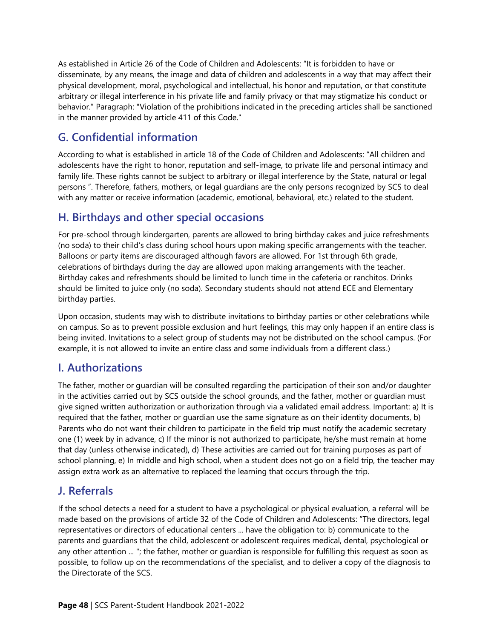As established in Article 26 of the Code of Children and Adolescents: "It is forbidden to have or disseminate, by any means, the image and data of children and adolescents in a way that may affect their physical development, moral, psychological and intellectual, his honor and reputation, or that constitute arbitrary or illegal interference in his private life and family privacy or that may stigmatize his conduct or behavior." Paragraph: "Violation of the prohibitions indicated in the preceding articles shall be sanctioned in the manner provided by article 411 of this Code."

## <span id="page-53-0"></span>**G. Confidential information**

According to what is established in article 18 of the Code of Children and Adolescents: "All children and adolescents have the right to honor, reputation and self-image, to private life and personal intimacy and family life. These rights cannot be subject to arbitrary or illegal interference by the State, natural or legal persons ". Therefore, fathers, mothers, or legal guardians are the only persons recognized by SCS to deal with any matter or receive information (academic, emotional, behavioral, etc.) related to the student.

## <span id="page-53-1"></span>**H. Birthdays and other special occasions**

For pre-school through kindergarten, parents are allowed to bring birthday cakes and juice refreshments (no soda) to their child's class during school hours upon making specific arrangements with the teacher. Balloons or party items are discouraged although favors are allowed. For 1st through 6th grade, celebrations of birthdays during the day are allowed upon making arrangements with the teacher. Birthday cakes and refreshments should be limited to lunch time in the cafeteria or ranchitos. Drinks should be limited to juice only (no soda). Secondary students should not attend ECE and Elementary birthday parties.

Upon occasion, students may wish to distribute invitations to birthday parties or other celebrations while on campus. So as to prevent possible exclusion and hurt feelings, this may only happen if an entire class is being invited. Invitations to a select group of students may not be distributed on the school campus. (For example, it is not allowed to invite an entire class and some individuals from a different class.)

## <span id="page-53-2"></span>**I. Authorizations**

The father, mother or guardian will be consulted regarding the participation of their son and/or daughter in the activities carried out by SCS outside the school grounds, and the father, mother or guardian must give signed written authorization or authorization through via a validated email address. Important: a) It is required that the father, mother or guardian use the same signature as on their identity documents, b) Parents who do not want their children to participate in the field trip must notify the academic secretary one (1) week by in advance, c) If the minor is not authorized to participate, he/she must remain at home that day (unless otherwise indicated), d) These activities are carried out for training purposes as part of school planning, e) In middle and high school, when a student does not go on a field trip, the teacher may assign extra work as an alternative to replaced the learning that occurs through the trip.

## <span id="page-53-3"></span>**J. Referrals**

If the school detects a need for a student to have a psychological or physical evaluation, a referral will be made based on the provisions of article 32 of the Code of Children and Adolescents: "The directors, legal representatives or directors of educational centers ... have the obligation to: b) communicate to the parents and guardians that the child, adolescent or adolescent requires medical, dental, psychological or any other attention ... "; the father, mother or guardian is responsible for fulfilling this request as soon as possible, to follow up on the recommendations of the specialist, and to deliver a copy of the diagnosis to the Directorate of the SCS.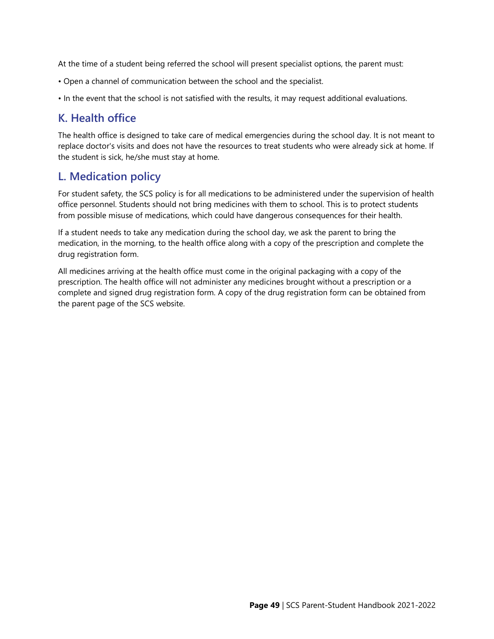At the time of a student being referred the school will present specialist options, the parent must:

- Open a channel of communication between the school and the specialist.
- In the event that the school is not satisfied with the results, it may request additional evaluations.

## <span id="page-54-0"></span>**K. Health office**

The health office is designed to take care of medical emergencies during the school day. It is not meant to replace doctor's visits and does not have the resources to treat students who were already sick at home. If the student is sick, he/she must stay at home.

## <span id="page-54-1"></span>**L. Medication policy**

For student safety, the SCS policy is for all medications to be administered under the supervision of health office personnel. Students should not bring medicines with them to school. This is to protect students from possible misuse of medications, which could have dangerous consequences for their health.

If a student needs to take any medication during the school day, we ask the parent to bring the medication, in the morning, to the health office along with a copy of the prescription and complete the drug registration form.

All medicines arriving at the health office must come in the original packaging with a copy of the prescription. The health office will not administer any medicines brought without a prescription or a complete and signed drug registration form. A copy of the drug registration form can be obtained from the parent page of the SCS website.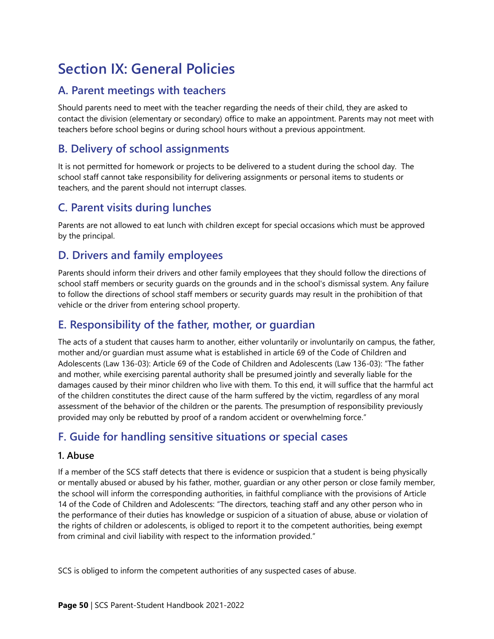## <span id="page-55-0"></span>**Section IX: General Policies**

## <span id="page-55-1"></span>**A. Parent meetings with teachers**

Should parents need to meet with the teacher regarding the needs of their child, they are asked to contact the division (elementary or secondary) office to make an appointment. Parents may not meet with teachers before school begins or during school hours without a previous appointment.

## <span id="page-55-2"></span>**B. Delivery of school assignments**

It is not permitted for homework or projects to be delivered to a student during the school day. The school staff cannot take responsibility for delivering assignments or personal items to students or teachers, and the parent should not interrupt classes.

## <span id="page-55-3"></span>**C. Parent visits during lunches**

Parents are not allowed to eat lunch with children except for special occasions which must be approved by the principal.

## <span id="page-55-4"></span>**D. Drivers and family employees**

Parents should inform their drivers and other family employees that they should follow the directions of school staff members or security guards on the grounds and in the school's dismissal system. Any failure to follow the directions of school staff members or security guards may result in the prohibition of that vehicle or the driver from entering school property.

## <span id="page-55-5"></span>**E. Responsibility of the father, mother, or guardian**

The acts of a student that causes harm to another, either voluntarily or involuntarily on campus, the father, mother and/or guardian must assume what is established in article 69 of the Code of Children and Adolescents (Law 136-03): Article 69 of the Code of Children and Adolescents (Law 136-03): "The father and mother, while exercising parental authority shall be presumed jointly and severally liable for the damages caused by their minor children who live with them. To this end, it will suffice that the harmful act of the children constitutes the direct cause of the harm suffered by the victim, regardless of any moral assessment of the behavior of the children or the parents. The presumption of responsibility previously provided may only be rebutted by proof of a random accident or overwhelming force."

## <span id="page-55-6"></span>**F. Guide for handling sensitive situations or special cases**

#### **1. Abuse**

If a member of the SCS staff detects that there is evidence or suspicion that a student is being physically or mentally abused or abused by his father, mother, guardian or any other person or close family member, the school will inform the corresponding authorities, in faithful compliance with the provisions of Article 14 of the Code of Children and Adolescents: "The directors, teaching staff and any other person who in the performance of their duties has knowledge or suspicion of a situation of abuse, abuse or violation of the rights of children or adolescents, is obliged to report it to the competent authorities, being exempt from criminal and civil liability with respect to the information provided."

SCS is obliged to inform the competent authorities of any suspected cases of abuse.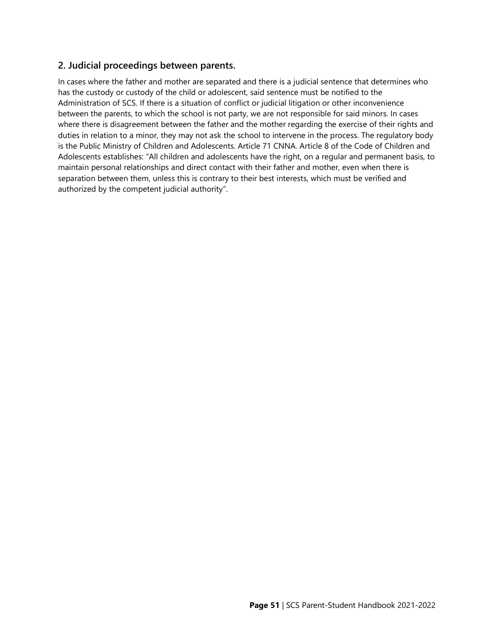#### **2. Judicial proceedings between parents.**

In cases where the father and mother are separated and there is a judicial sentence that determines who has the custody or custody of the child or adolescent, said sentence must be notified to the Administration of SCS. If there is a situation of conflict or judicial litigation or other inconvenience between the parents, to which the school is not party, we are not responsible for said minors. In cases where there is disagreement between the father and the mother regarding the exercise of their rights and duties in relation to a minor, they may not ask the school to intervene in the process. The regulatory body is the Public Ministry of Children and Adolescents. Article 71 CNNA. Article 8 of the Code of Children and Adolescents establishes: "All children and adolescents have the right, on a regular and permanent basis, to maintain personal relationships and direct contact with their father and mother, even when there is separation between them, unless this is contrary to their best interests, which must be verified and authorized by the competent judicial authority".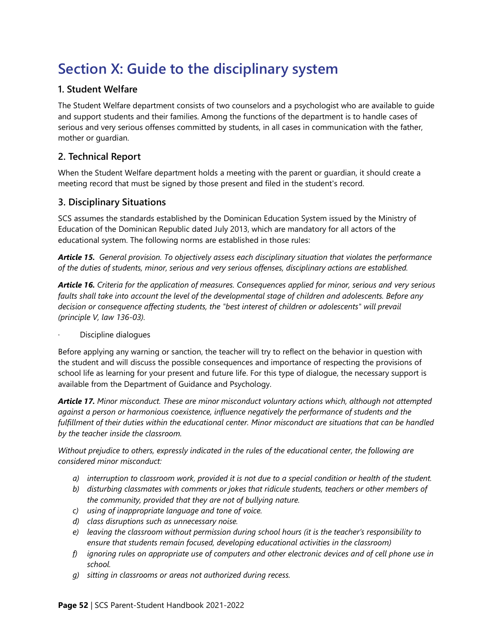## <span id="page-57-0"></span>**Section X: Guide to the disciplinary system**

#### **1. Student Welfare**

The Student Welfare department consists of two counselors and a psychologist who are available to guide and support students and their families. Among the functions of the department is to handle cases of serious and very serious offenses committed by students, in all cases in communication with the father, mother or guardian.

#### **2. Technical Report**

When the Student Welfare department holds a meeting with the parent or guardian, it should create a meeting record that must be signed by those present and filed in the student's record.

#### **3. Disciplinary Situations**

SCS assumes the standards established by the Dominican Education System issued by the Ministry of Education of the Dominican Republic dated July 2013, which are mandatory for all actors of the educational system. The following norms are established in those rules:

*Article 15. General provision. To objectively assess each disciplinary situation that violates the performance of the duties of students, minor, serious and very serious offenses, disciplinary actions are established.*

*Article 16. Criteria for the application of measures. Consequences applied for minor, serious and very serious faults shall take into account the level of the developmental stage of children and adolescents. Before any decision or consequence affecting students, the "best interest of children or adolescents" will prevail (principle V, law 136-03).*

· Discipline dialogues

Before applying any warning or sanction, the teacher will try to reflect on the behavior in question with the student and will discuss the possible consequences and importance of respecting the provisions of school life as learning for your present and future life. For this type of dialogue, the necessary support is available from the Department of Guidance and Psychology.

*Article 17. Minor misconduct. These are minor misconduct voluntary actions which, although not attempted against a person or harmonious coexistence, influence negatively the performance of students and the fulfillment of their duties within the educational center. Minor misconduct are situations that can be handled by the teacher inside the classroom.*

*Without prejudice to others, expressly indicated in the rules of the educational center, the following are considered minor misconduct:*

- *a) interruption to classroom work, provided it is not due to a special condition or health of the student.*
- *b) disturbing classmates with comments or jokes that ridicule students, teachers or other members of the community, provided that they are not of bullying nature.*
- *c) using of inappropriate language and tone of voice.*
- *d) class disruptions such as unnecessary noise.*
- *e) leaving the classroom without permission during school hours (it is the teacher's responsibility to ensure that students remain focused, developing educational activities in the classroom)*
- *f) ignoring rules on appropriate use of computers and other electronic devices and of cell phone use in school.*
- *g) sitting in classrooms or areas not authorized during recess.*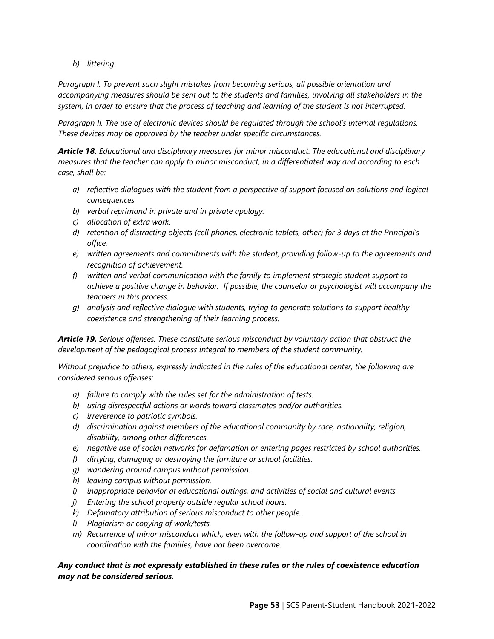*h) littering.*

*Paragraph I. To prevent such slight mistakes from becoming serious, all possible orientation and accompanying measures should be sent out to the students and families, involving all stakeholders in the system, in order to ensure that the process of teaching and learning of the student is not interrupted.*

*Paragraph II. The use of electronic devices should be regulated through the school's internal regulations. These devices may be approved by the teacher under specific circumstances.*

*Article 18. Educational and disciplinary measures for minor misconduct. The educational and disciplinary measures that the teacher can apply to minor misconduct, in a differentiated way and according to each case, shall be:*

- *a) reflective dialogues with the student from a perspective of support focused on solutions and logical consequences.*
- *b) verbal reprimand in private and in private apology.*
- *c) allocation of extra work.*
- *d) retention of distracting objects (cell phones, electronic tablets, other) for 3 days at the Principal's office.*
- *e) written agreements and commitments with the student, providing follow-up to the agreements and recognition of achievement.*
- *f) written and verbal communication with the family to implement strategic student support to achieve a positive change in behavior. If possible, the counselor or psychologist will accompany the teachers in this process.*
- *g) analysis and reflective dialogue with students, trying to generate solutions to support healthy coexistence and strengthening of their learning process.*

*Article 19. Serious offenses. These constitute serious misconduct by voluntary action that obstruct the development of the pedagogical process integral to members of the student community.*

*Without prejudice to others, expressly indicated in the rules of the educational center, the following are considered serious offenses:*

- *a) failure to comply with the rules set for the administration of tests.*
- *b) using disrespectful actions or words toward classmates and/or authorities.*
- *c) irreverence to patriotic symbols.*
- *d) discrimination against members of the educational community by race, nationality, religion, disability, among other differences.*
- *e) negative use of social networks for defamation or entering pages restricted by school authorities.*
- *f) dirtying, damaging or destroying the furniture or school facilities.*
- *g) wandering around campus without permission.*
- *h) leaving campus without permission.*
- *i) inappropriate behavior at educational outings, and activities of social and cultural events.*
- *j) Entering the school property outside regular school hours.*
- *k) Defamatory attribution of serious misconduct to other people.*
- *l) Plagiarism or copying of work/tests.*
- *m) Recurrence of minor misconduct which, even with the follow-up and support of the school in coordination with the families, have not been overcome.*

#### *Any conduct that is not expressly established in these rules or the rules of coexistence education may not be considered serious.*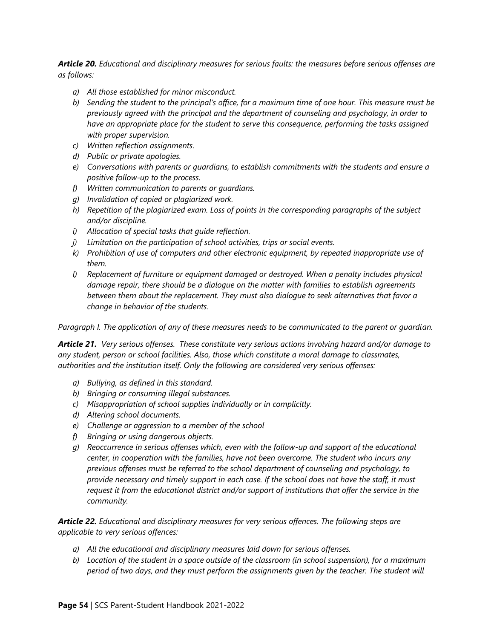*Article 20. Educational and disciplinary measures for serious faults: the measures before serious offenses are as follows:*

- *a) All those established for minor misconduct.*
- *b) Sending the student to the principal's office, for a maximum time of one hour. This measure must be previously agreed with the principal and the department of counseling and psychology, in order to have an appropriate place for the student to serve this consequence, performing the tasks assigned with proper supervision.*
- *c) Written reflection assignments.*
- *d) Public or private apologies.*
- *e) Conversations with parents or guardians, to establish commitments with the students and ensure a positive follow-up to the process.*
- *f) Written communication to parents or guardians.*
- *g) Invalidation of copied or plagiarized work.*
- *h) Repetition of the plagiarized exam. Loss of points in the corresponding paragraphs of the subject and/or discipline.*
- *i) Allocation of special tasks that guide reflection.*
- *j) Limitation on the participation of school activities, trips or social events.*
- *k) Prohibition of use of computers and other electronic equipment, by repeated inappropriate use of them.*
- *l) Replacement of furniture or equipment damaged or destroyed. When a penalty includes physical damage repair, there should be a dialogue on the matter with families to establish agreements between them about the replacement. They must also dialogue to seek alternatives that favor a change in behavior of the students.*

*Paragraph I. The application of any of these measures needs to be communicated to the parent or guardian.*

*Article 21. Very serious offenses. These constitute very serious actions involving hazard and/or damage to any student, person or school facilities. Also, those which constitute a moral damage to classmates, authorities and the institution itself. Only the following are considered very serious offenses:* 

- *a) Bullying, as defined in this standard.*
- *b) Bringing or consuming illegal substances.*
- *c) Misappropriation of school supplies individually or in complicitly.*
- *d) Altering school documents.*
- *e) Challenge or aggression to a member of the school*
- *f) Bringing or using dangerous objects.*
- *g) Reoccurrence in serious offenses which, even with the follow-up and support of the educational center, in cooperation with the families, have not been overcome. The student who incurs any previous offenses must be referred to the school department of counseling and psychology, to provide necessary and timely support in each case. If the school does not have the staff, it must request it from the educational district and/or support of institutions that offer the service in the community.*

*Article 22. Educational and disciplinary measures for very serious offences. The following steps are applicable to very serious offences:*

- *a) All the educational and disciplinary measures laid down for serious offenses.*
- *b) Location of the student in a space outside of the classroom (in school suspension), for a maximum period of two days, and they must perform the assignments given by the teacher. The student will*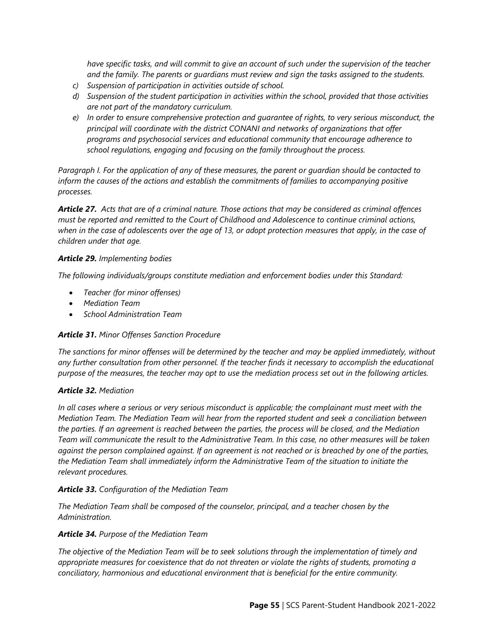*have specific tasks, and will commit to give an account of such under the supervision of the teacher and the family. The parents or guardians must review and sign the tasks assigned to the students.*

- *c) Suspension of participation in activities outside of school.*
- *d) Suspension of the student participation in activities within the school, provided that those activities are not part of the mandatory curriculum.*
- *e) In order to ensure comprehensive protection and guarantee of rights, to very serious misconduct, the principal will coordinate with the district CONANI and networks of organizations that offer programs and psychosocial services and educational community that encourage adherence to school regulations, engaging and focusing on the family throughout the process.*

*Paragraph I. For the application of any of these measures, the parent or guardian should be contacted to inform the causes of the actions and establish the commitments of families to accompanying positive processes.*

*Article 27. Acts that are of a criminal nature. Those actions that may be considered as criminal offences must be reported and remitted to the Court of Childhood and Adolescence to continue criminal actions, when in the case of adolescents over the age of 13, or adopt protection measures that apply, in the case of children under that age.*

#### *Article 29. Implementing bodies*

*The following individuals/groups constitute mediation and enforcement bodies under this Standard:*

- *Teacher (for minor offenses)*
- *Mediation Team*
- *School Administration Team*

#### *Article 31. Minor Offenses Sanction Procedure*

*The sanctions for minor offenses will be determined by the teacher and may be applied immediately, without*  any further consultation from other personnel. If the teacher finds it necessary to accomplish the educational *purpose of the measures, the teacher may opt to use the mediation process set out in the following articles.*

#### *Article 32. Mediation*

*In all cases where a serious or very serious misconduct is applicable; the complainant must meet with the Mediation Team. The Mediation Team will hear from the reported student and seek a conciliation between the parties. If an agreement is reached between the parties, the process will be closed, and the Mediation Team will communicate the result to the Administrative Team. In this case, no other measures will be taken against the person complained against. If an agreement is not reached or is breached by one of the parties, the Mediation Team shall immediately inform the Administrative Team of the situation to initiate the relevant procedures.*

#### *Article 33. Configuration of the Mediation Team*

*The Mediation Team shall be composed of the counselor, principal, and a teacher chosen by the Administration.*

#### *Article 34. Purpose of the Mediation Team*

*The objective of the Mediation Team will be to seek solutions through the implementation of timely and appropriate measures for coexistence that do not threaten or violate the rights of students, promoting a conciliatory, harmonious and educational environment that is beneficial for the entire community.*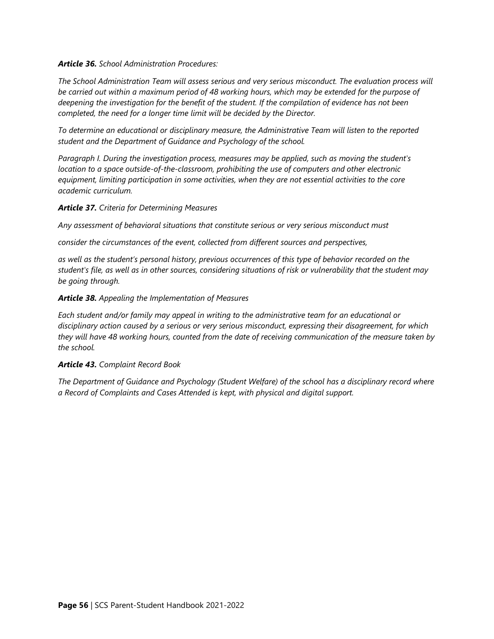#### *Article 36. School Administration Procedures:*

*The School Administration Team will assess serious and very serious misconduct. The evaluation process will be carried out within a maximum period of 48 working hours, which may be extended for the purpose of deepening the investigation for the benefit of the student. If the compilation of evidence has not been completed, the need for a longer time limit will be decided by the Director.*

*To determine an educational or disciplinary measure, the Administrative Team will listen to the reported student and the Department of Guidance and Psychology of the school.*

*Paragraph I. During the investigation process, measures may be applied, such as moving the student's location to a space outside-of-the-classroom, prohibiting the use of computers and other electronic equipment, limiting participation in some activities, when they are not essential activities to the core academic curriculum.* 

#### *Article 37. Criteria for Determining Measures*

*Any assessment of behavioral situations that constitute serious or very serious misconduct must* 

*consider the circumstances of the event, collected from different sources and perspectives,*

*as well as the student's personal history, previous occurrences of this type of behavior recorded on the student's file, as well as in other sources, considering situations of risk or vulnerability that the student may be going through.*

#### *Article 38. Appealing the Implementation of Measures*

*Each student and/or family may appeal in writing to the administrative team for an educational or disciplinary action caused by a serious or very serious misconduct, expressing their disagreement, for which they will have 48 working hours, counted from the date of receiving communication of the measure taken by the school.*

#### *Article 43. Complaint Record Book*

*The Department of Guidance and Psychology (Student Welfare) of the school has a disciplinary record where a Record of Complaints and Cases Attended is kept, with physical and digital support.*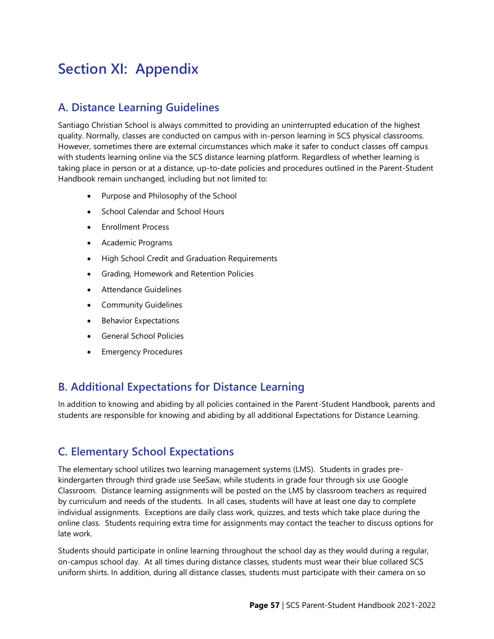## <span id="page-62-0"></span>**Section XI: Appendix**

## <span id="page-62-1"></span>**A. Distance Learning Guidelines**

Santiago Christian School is always committed to providing an uninterrupted education of the highest quality. Normally, classes are conducted on campus with in-person learning in SCS physical classrooms. However, sometimes there are external circumstances which make it safer to conduct classes off campus with students learning online via the SCS distance learning platform. Regardless of whether learning is taking place in person or at a distance, up-to-date policies and procedures outlined in the Parent-Student Handbook remain unchanged, including but not limited to:

- Purpose and Philosophy of the School
- School Calendar and School Hours
- Enrollment Process
- Academic Programs
- High School Credit and Graduation Requirements
- Grading, Homework and Retention Policies
- Attendance Guidelines
- Community Guidelines
- Behavior Expectations
- General School Policies
- Emergency Procedures

## <span id="page-62-2"></span>**B. Additional Expectations for Distance Learning**

In addition to knowing and abiding by all policies contained in the Parent-Student Handbook, parents and students are responsible for knowing and abiding by all additional Expectations for Distance Learning.

## <span id="page-62-3"></span>**C. Elementary School Expectations**

The elementary school utilizes two learning management systems (LMS). Students in grades prekindergarten through third grade use SeeSaw, while students in grade four through six use Google Classroom. Distance learning assignments will be posted on the LMS by classroom teachers as required by curriculum and needs of the students. In all cases, students will have at least one day to complete individual assignments. Exceptions are daily class work, quizzes, and tests which take place during the online class. Students requiring extra time for assignments may contact the teacher to discuss options for late work.

Students should participate in online learning throughout the school day as they would during a regular, on-campus school day. At all times during distance classes, students must wear their blue collared SCS uniform shirts. In addition, during all distance classes, students must participate with their camera on so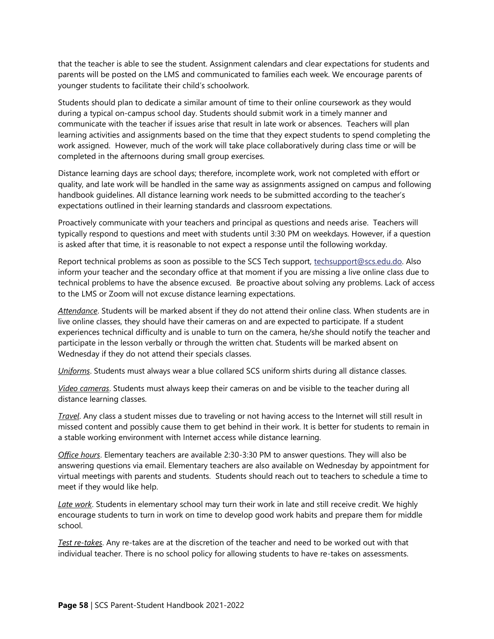that the teacher is able to see the student. Assignment calendars and clear expectations for students and parents will be posted on the LMS and communicated to families each week. We encourage parents of younger students to facilitate their child's schoolwork.

Students should plan to dedicate a similar amount of time to their online coursework as they would during a typical on-campus school day. Students should submit work in a timely manner and communicate with the teacher if issues arise that result in late work or absences. Teachers will plan learning activities and assignments based on the time that they expect students to spend completing the work assigned. However, much of the work will take place collaboratively during class time or will be completed in the afternoons during small group exercises.

Distance learning days are school days; therefore, incomplete work, work not completed with effort or quality, and late work will be handled in the same way as assignments assigned on campus and following handbook guidelines. All distance learning work needs to be submitted according to the teacher's expectations outlined in their learning standards and classroom expectations.

Proactively communicate with your teachers and principal as questions and needs arise. Teachers will typically respond to questions and meet with students until 3:30 PM on weekdays. However, if a question is asked after that time, it is reasonable to not expect a response until the following workday.

Report technical problems as soon as possible to the SCS Tech support, [techsupport@scs.edu.do.](mailto:techsupport@scs.edu.do) Also inform your teacher and the secondary office at that moment if you are missing a live online class due to technical problems to have the absence excused. Be proactive about solving any problems. Lack of access to the LMS or Zoom will not excuse distance learning expectations.

*Attendance*. Students will be marked absent if they do not attend their online class. When students are in live online classes, they should have their cameras on and are expected to participate. If a student experiences technical difficulty and is unable to turn on the camera, he/she should notify the teacher and participate in the lesson verbally or through the written chat. Students will be marked absent on Wednesday if they do not attend their specials classes.

*Uniforms*. Students must always wear a blue collared SCS uniform shirts during all distance classes.

*Video cameras*. Students must always keep their cameras on and be visible to the teacher during all distance learning classes.

*Travel*. Any class a student misses due to traveling or not having access to the Internet will still result in missed content and possibly cause them to get behind in their work. It is better for students to remain in a stable working environment with Internet access while distance learning.

*Office hours*. Elementary teachers are available 2:30-3:30 PM to answer questions. They will also be answering questions via email. Elementary teachers are also available on Wednesday by appointment for virtual meetings with parents and students. Students should reach out to teachers to schedule a time to meet if they would like help.

*Late work*. Students in elementary school may turn their work in late and still receive credit. We highly encourage students to turn in work on time to develop good work habits and prepare them for middle school.

*Test re-takes*. Any re-takes are at the discretion of the teacher and need to be worked out with that individual teacher. There is no school policy for allowing students to have re-takes on assessments.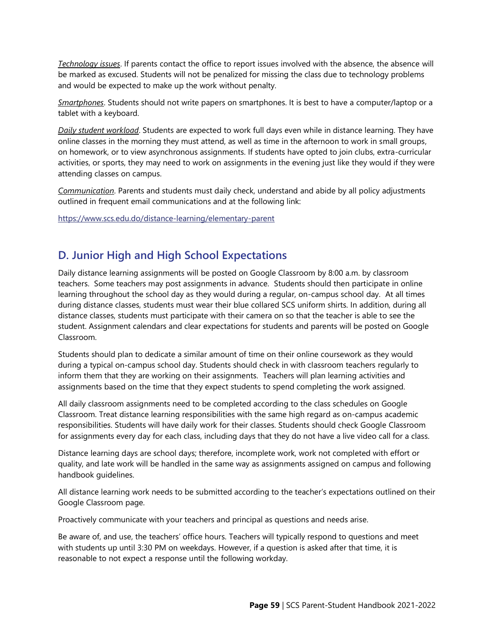*Technology issues*. If parents contact the office to report issues involved with the absence, the absence will be marked as excused. Students will not be penalized for missing the class due to technology problems and would be expected to make up the work without penalty.

*Smartphones*. Students should not write papers on smartphones. It is best to have a computer/laptop or a tablet with a keyboard.

*Daily student workload*. Students are expected to work full days even while in distance learning. They have online classes in the morning they must attend, as well as time in the afternoon to work in small groups, on homework, or to view asynchronous assignments. If students have opted to join clubs, extra-curricular activities, or sports, they may need to work on assignments in the evening just like they would if they were attending classes on campus.

*Communication*. Parents and students must daily check, understand and abide by all policy adjustments outlined in frequent email communications and at the following link:

<https://www.scs.edu.do/distance-learning/elementary-parent>

## <span id="page-64-0"></span>**D. Junior High and High School Expectations**

Daily distance learning assignments will be posted on Google Classroom by 8:00 a.m. by classroom teachers. Some teachers may post assignments in advance. Students should then participate in online learning throughout the school day as they would during a regular, on-campus school day. At all times during distance classes, students must wear their blue collared SCS uniform shirts. In addition, during all distance classes, students must participate with their camera on so that the teacher is able to see the student. Assignment calendars and clear expectations for students and parents will be posted on Google Classroom.

Students should plan to dedicate a similar amount of time on their online coursework as they would during a typical on-campus school day. Students should check in with classroom teachers regularly to inform them that they are working on their assignments. Teachers will plan learning activities and assignments based on the time that they expect students to spend completing the work assigned.

All daily classroom assignments need to be completed according to the class schedules on Google Classroom. Treat distance learning responsibilities with the same high regard as on-campus academic responsibilities. Students will have daily work for their classes. Students should check Google Classroom for assignments every day for each class, including days that they do not have a live video call for a class.

Distance learning days are school days; therefore, incomplete work, work not completed with effort or quality, and late work will be handled in the same way as assignments assigned on campus and following handbook guidelines.

All distance learning work needs to be submitted according to the teacher's expectations outlined on their Google Classroom page.

Proactively communicate with your teachers and principal as questions and needs arise.

Be aware of, and use, the teachers' office hours. Teachers will typically respond to questions and meet with students up until 3:30 PM on weekdays. However, if a question is asked after that time, it is reasonable to not expect a response until the following workday.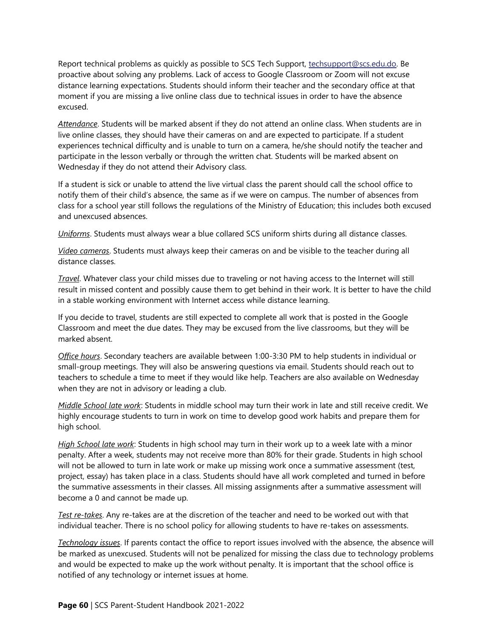Report technical problems as quickly as possible to SCS Tech Support, [techsupport@scs.edu.do.](mailto:techsupport@scs.edu.do) Be proactive about solving any problems. Lack of access to Google Classroom or Zoom will not excuse distance learning expectations. Students should inform their teacher and the secondary office at that moment if you are missing a live online class due to technical issues in order to have the absence excused.

*Attendance*. Students will be marked absent if they do not attend an online class. When students are in live online classes, they should have their cameras on and are expected to participate. If a student experiences technical difficulty and is unable to turn on a camera, he/she should notify the teacher and participate in the lesson verbally or through the written chat. Students will be marked absent on Wednesday if they do not attend their Advisory class.

If a student is sick or unable to attend the live virtual class the parent should call the school office to notify them of their child's absence, the same as if we were on campus. The number of absences from class for a school year still follows the regulations of the Ministry of Education; this includes both excused and unexcused absences.

*Uniforms*. Students must always wear a blue collared SCS uniform shirts during all distance classes.

*Video cameras*. Students must always keep their cameras on and be visible to the teacher during all distance classes.

*Travel*. Whatever class your child misses due to traveling or not having access to the Internet will still result in missed content and possibly cause them to get behind in their work. It is better to have the child in a stable working environment with Internet access while distance learning.

If you decide to travel, students are still expected to complete all work that is posted in the Google Classroom and meet the due dates. They may be excused from the live classrooms, but they will be marked absent.

*Office hours*. Secondary teachers are available between 1:00-3:30 PM to help students in individual or small-group meetings. They will also be answering questions via email. Students should reach out to teachers to schedule a time to meet if they would like help. Teachers are also available on Wednesday when they are not in advisory or leading a club.

*Middle School late work*: Students in middle school may turn their work in late and still receive credit. We highly encourage students to turn in work on time to develop good work habits and prepare them for high school.

*High School late work*: Students in high school may turn in their work up to a week late with a minor penalty. After a week, students may not receive more than 80% for their grade. Students in high school will not be allowed to turn in late work or make up missing work once a summative assessment (test, project, essay) has taken place in a class. Students should have all work completed and turned in before the summative assessments in their classes. All missing assignments after a summative assessment will become a 0 and cannot be made up.

*Test re-takes*. Any re-takes are at the discretion of the teacher and need to be worked out with that individual teacher. There is no school policy for allowing students to have re-takes on assessments.

*Technology issues*. If parents contact the office to report issues involved with the absence, the absence will be marked as unexcused. Students will not be penalized for missing the class due to technology problems and would be expected to make up the work without penalty. It is important that the school office is notified of any technology or internet issues at home.